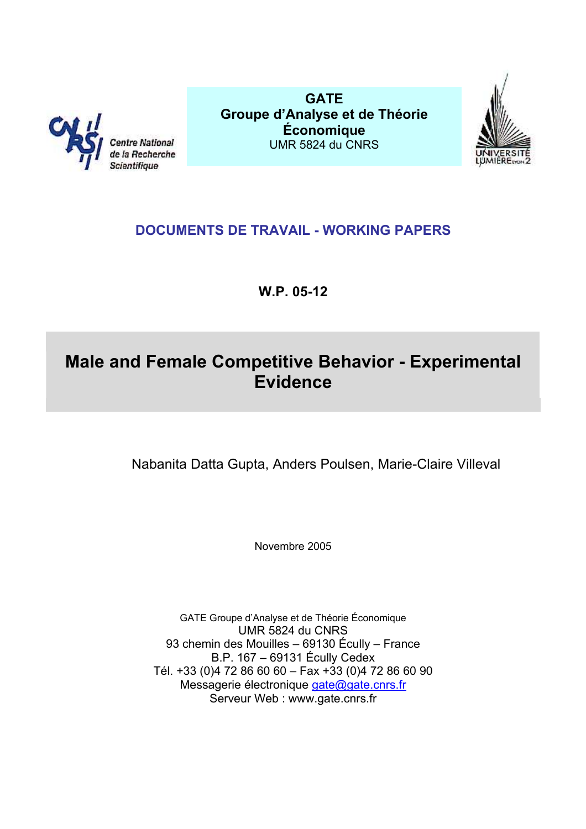

**GATE Groupe d'Analyse et de Théorie Économique** UMR 5824 du CNRS



## **DOCUMENTS DE TRAVAIL - WORKING PAPERS**

**W.P. 05-12** 

# **Male and Female Competitive Behavior - Experimental Evidence**

Nabanita Datta Gupta, Anders Poulsen, Marie-Claire Villeval

Novembre 2005

GATE Groupe d'Analyse et de Théorie Économique UMR 5824 du CNRS 93 chemin des Mouilles – 69130 Écully – France B.P. 167 – 69131 Écully Cedex Tél. +33 (0)4 72 86 60 60 – Fax +33 (0)4 72 86 60 90 Messagerie électronique [gate@gate.cnrs.fr](mailto:gate@gate.cnrs.fr) Serveur Web : www.gate.cnrs.fr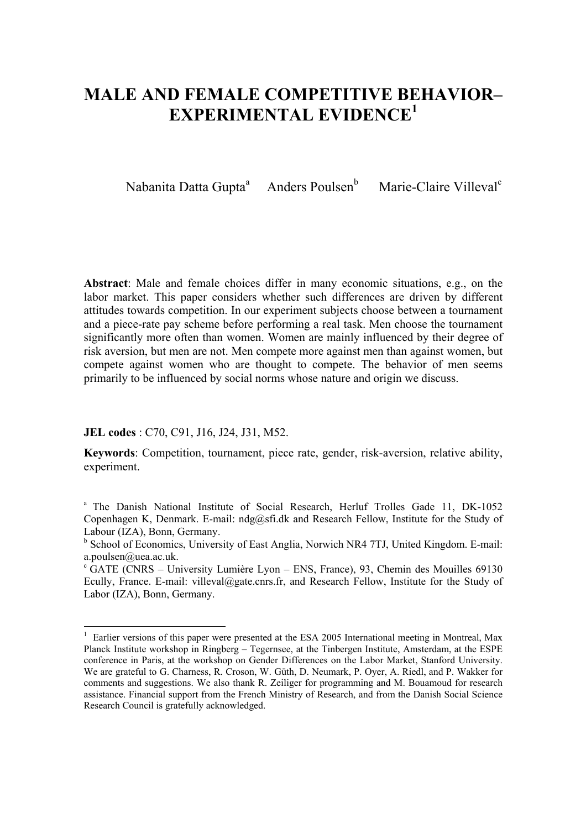# **MALE AND FEMALE COMPETITIVE BEHAVIOR– EXPERIMENTAL EVIDENCE[1](#page-1-0)**

Nabanita Datta Gupta<sup>a</sup> Anders Poulsen<sup>b</sup> Marie-Claire Villeval<sup>c</sup>

**Abstract**: Male and female choices differ in many economic situations, e.g., on the labor market. This paper considers whether such differences are driven by different attitudes towards competition. In our experiment subjects choose between a tournament and a piece-rate pay scheme before performing a real task. Men choose the tournament significantly more often than women. Women are mainly influenced by their degree of risk aversion, but men are not. Men compete more against men than against women, but compete against women who are thought to compete. The behavior of men seems primarily to be influenced by social norms whose nature and origin we discuss.

#### **JEL codes** : C70, C91, J16, J24, J31, M52.

**Keywords**: Competition, tournament, piece rate, gender, risk-aversion, relative ability, experiment.

<sup>a</sup> The Danish National Institute of Social Research, Herluf Trolles Gade 11, DK-1052 Copenhagen K, Denmark. E-mail: ndg@sfi.dk and Research Fellow, Institute for the Study of Labour (IZA), Bonn, Germany.

<sup>b</sup> School of Economics, University of East Anglia, Norwich NR4 7TJ, United Kingdom. E-mail: a.poulsen@uea.ac.uk.

 $c\hat{G}$ ATE (CNRS – University Lumière Lyon – ENS, France), 93, Chemin des Mouilles 69130 Ecully, France. E-mail: villeval@gate.cnrs.fr, and Research Fellow, Institute for the Study of Labor (IZA), Bonn, Germany.

<span id="page-1-0"></span><sup>&</sup>lt;sup>1</sup> Earlier versions of this paper were presented at the ESA 2005 International meeting in Montreal, Max Planck Institute workshop in Ringberg – Tegernsee, at the Tinbergen Institute, Amsterdam, at the ESPE conference in Paris, at the workshop on Gender Differences on the Labor Market, Stanford University. We are grateful to G. Charness, R. Croson, W. Güth, D. Neumark, P. Oyer, A. Riedl, and P. Wakker for comments and suggestions. We also thank R. Zeiliger for programming and M. Bouamoud for research assistance. Financial support from the French Ministry of Research, and from the Danish Social Science Research Council is gratefully acknowledged.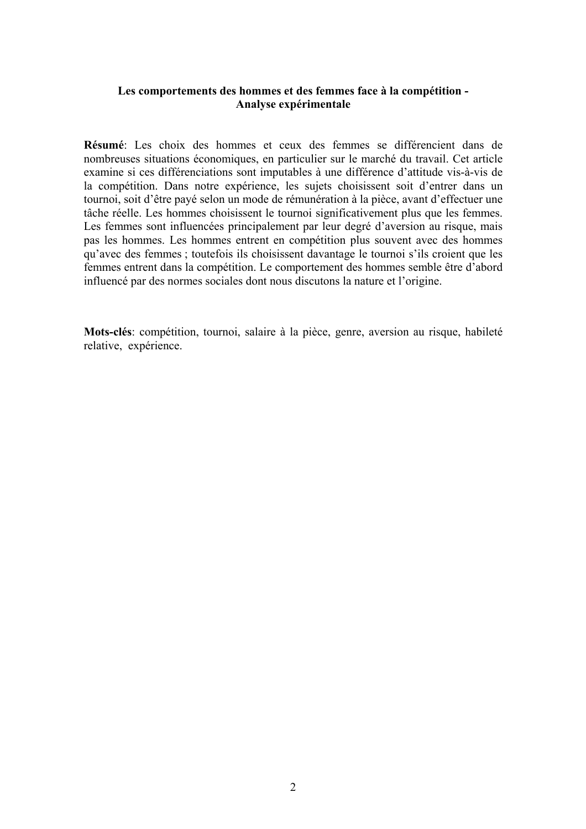### **Les comportements des hommes et des femmes face à la compétition - Analyse expérimentale**

**Résumé**: Les choix des hommes et ceux des femmes se différencient dans de nombreuses situations économiques, en particulier sur le marché du travail. Cet article examine si ces différenciations sont imputables à une différence d'attitude vis-à-vis de la compétition. Dans notre expérience, les sujets choisissent soit d'entrer dans un tournoi, soit d'être payé selon un mode de rémunération à la pièce, avant d'effectuer une tâche réelle. Les hommes choisissent le tournoi significativement plus que les femmes. Les femmes sont influencées principalement par leur degré d'aversion au risque, mais pas les hommes. Les hommes entrent en compétition plus souvent avec des hommes qu'avec des femmes ; toutefois ils choisissent davantage le tournoi s'ils croient que les femmes entrent dans la compétition. Le comportement des hommes semble être d'abord influencé par des normes sociales dont nous discutons la nature et l'origine.

**Mots-clés**: compétition, tournoi, salaire à la pièce, genre, aversion au risque, habileté relative, expérience.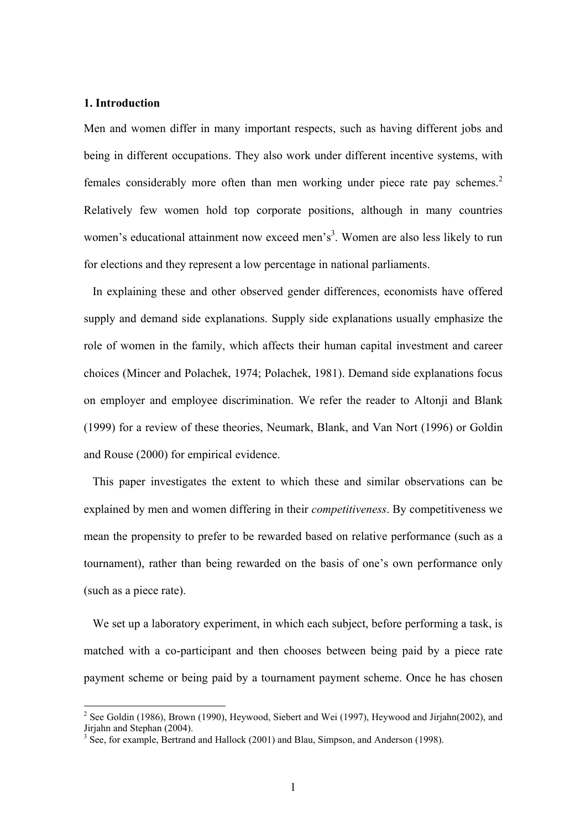#### **1. Introduction**

Men and women differ in many important respects, such as having different jobs and being in different occupations. They also work under different incentive systems, with females considerably more often than men working under piece rate pay schemes.<sup>[2](#page-3-0)</sup> Relatively few women hold top corporate positions, although in many countries women's educational attainment now exceed men's<sup>[3](#page-3-1)</sup>. Women are also less likely to run for elections and they represent a low percentage in national parliaments.

 In explaining these and other observed gender differences, economists have offered supply and demand side explanations. Supply side explanations usually emphasize the role of women in the family, which affects their human capital investment and career choices (Mincer and Polachek, 1974; Polachek, 1981). Demand side explanations focus on employer and employee discrimination. We refer the reader to Altonji and Blank (1999) for a review of these theories, Neumark, Blank, and Van Nort (1996) or Goldin and Rouse (2000) for empirical evidence.

 This paper investigates the extent to which these and similar observations can be explained by men and women differing in their *competitiveness*. By competitiveness we mean the propensity to prefer to be rewarded based on relative performance (such as a tournament), rather than being rewarded on the basis of one's own performance only (such as a piece rate).

We set up a laboratory experiment, in which each subject, before performing a task, is matched with a co-participant and then chooses between being paid by a piece rate payment scheme or being paid by a tournament payment scheme. Once he has chosen

<span id="page-3-0"></span><sup>&</sup>lt;sup>2</sup> See Goldin (1986), Brown (1990), Heywood, Siebert and Wei (1997), Heywood and Jirjahn(2002), and Jirjahn and Stephan (2004).

<span id="page-3-1"></span><sup>&</sup>lt;sup>3</sup> See, for example, Bertrand and Hallock (2001) and Blau, Simpson, and Anderson (1998).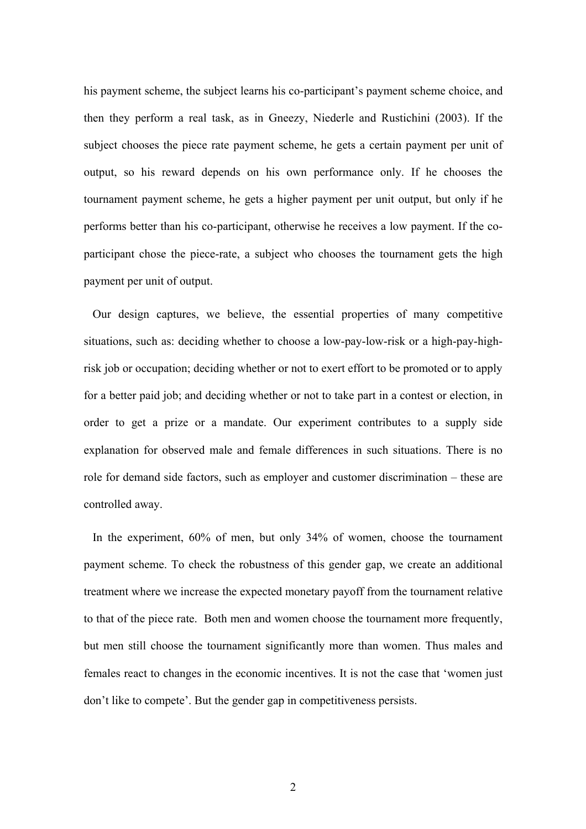his payment scheme, the subject learns his co-participant's payment scheme choice, and then they perform a real task, as in Gneezy, Niederle and Rustichini (2003). If the subject chooses the piece rate payment scheme, he gets a certain payment per unit of output, so his reward depends on his own performance only. If he chooses the tournament payment scheme, he gets a higher payment per unit output, but only if he performs better than his co-participant, otherwise he receives a low payment. If the coparticipant chose the piece-rate, a subject who chooses the tournament gets the high payment per unit of output.

 Our design captures, we believe, the essential properties of many competitive situations, such as: deciding whether to choose a low-pay-low-risk or a high-pay-highrisk job or occupation; deciding whether or not to exert effort to be promoted or to apply for a better paid job; and deciding whether or not to take part in a contest or election, in order to get a prize or a mandate. Our experiment contributes to a supply side explanation for observed male and female differences in such situations. There is no role for demand side factors, such as employer and customer discrimination – these are controlled away.

In the experiment,  $60\%$  of men, but only 34% of women, choose the tournament payment scheme. To check the robustness of this gender gap, we create an additional treatment where we increase the expected monetary payoff from the tournament relative to that of the piece rate. Both men and women choose the tournament more frequently, but men still choose the tournament significantly more than women. Thus males and females react to changes in the economic incentives. It is not the case that 'women just don't like to compete'. But the gender gap in competitiveness persists.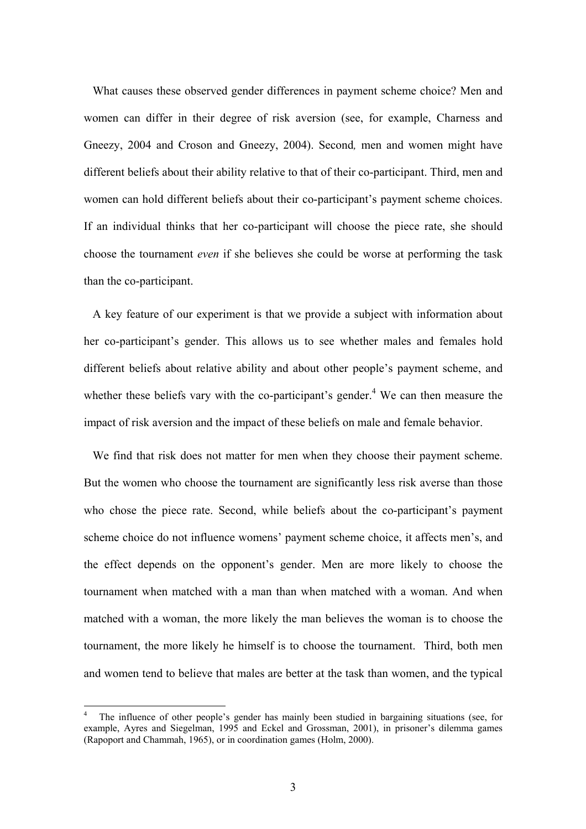What causes these observed gender differences in payment scheme choice? Men and women can differ in their degree of risk aversion (see, for example, Charness and Gneezy, 2004 and Croson and Gneezy, 2004). Second*,* men and women might have different beliefs about their ability relative to that of their co-participant. Third, men and women can hold different beliefs about their co-participant's payment scheme choices. If an individual thinks that her co-participant will choose the piece rate, she should choose the tournament *even* if she believes she could be worse at performing the task than the co-participant.

 A key feature of our experiment is that we provide a subject with information about her co-participant's gender. This allows us to see whether males and females hold different beliefs about relative ability and about other people's payment scheme, and whether these beliefs vary with the co-participant's gender.<sup>[4](#page-5-0)</sup> We can then measure the impact of risk aversion and the impact of these beliefs on male and female behavior.

 We find that risk does not matter for men when they choose their payment scheme. But the women who choose the tournament are significantly less risk averse than those who chose the piece rate. Second, while beliefs about the co-participant's payment scheme choice do not influence womens' payment scheme choice, it affects men's, and the effect depends on the opponent's gender. Men are more likely to choose the tournament when matched with a man than when matched with a woman. And when matched with a woman, the more likely the man believes the woman is to choose the tournament, the more likely he himself is to choose the tournament. Third, both men and women tend to believe that males are better at the task than women, and the typical

 $\overline{a}$ 

<span id="page-5-0"></span><sup>4</sup> The influence of other people's gender has mainly been studied in bargaining situations (see, for example, Ayres and Siegelman, 1995 and Eckel and Grossman, 2001), in prisoner's dilemma games (Rapoport and Chammah, 1965), or in coordination games (Holm, 2000).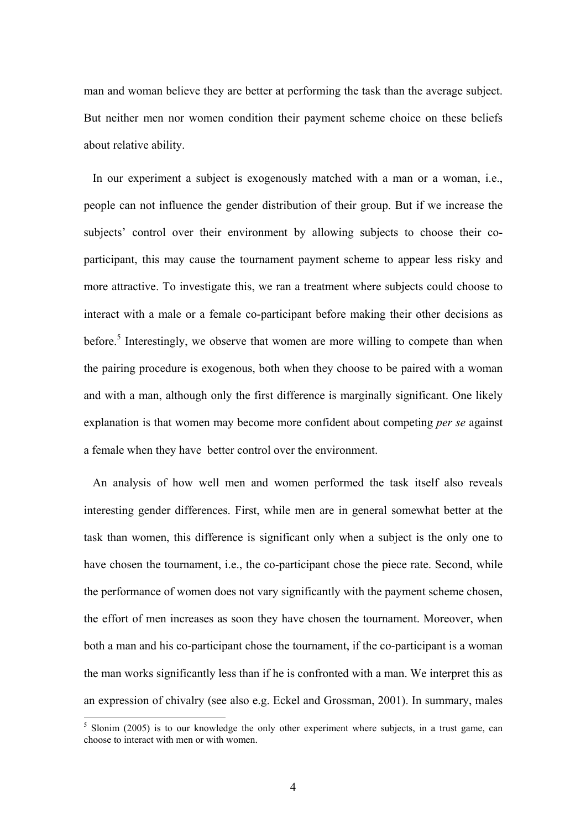man and woman believe they are better at performing the task than the average subject. But neither men nor women condition their payment scheme choice on these beliefs about relative ability.

In our experiment a subject is exogenously matched with a man or a woman, i.e., people can not influence the gender distribution of their group. But if we increase the subjects' control over their environment by allowing subjects to choose their coparticipant, this may cause the tournament payment scheme to appear less risky and more attractive. To investigate this, we ran a treatment where subjects could choose to interact with a male or a female co-participant before making their other decisions as before.<sup>[5](#page-6-0)</sup> Interestingly, we observe that women are more willing to compete than when the pairing procedure is exogenous, both when they choose to be paired with a woman and with a man, although only the first difference is marginally significant. One likely explanation is that women may become more confident about competing *per se* against a female when they have better control over the environment.

 An analysis of how well men and women performed the task itself also reveals interesting gender differences. First, while men are in general somewhat better at the task than women, this difference is significant only when a subject is the only one to have chosen the tournament, i.e., the co-participant chose the piece rate. Second, while the performance of women does not vary significantly with the payment scheme chosen, the effort of men increases as soon they have chosen the tournament. Moreover, when both a man and his co-participant chose the tournament, if the co-participant is a woman the man works significantly less than if he is confronted with a man. We interpret this as an expression of chivalry (see also e.g. Eckel and Grossman, 2001). In summary, males

<span id="page-6-0"></span><sup>&</sup>lt;sup>5</sup> Slonim (2005) is to our knowledge the only other experiment where subjects, in a trust game, can choose to interact with men or with women.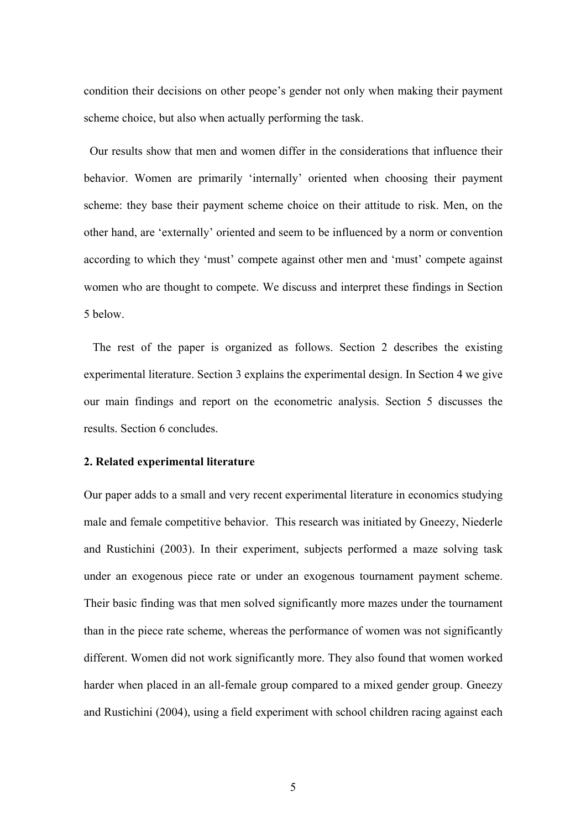condition their decisions on other peope's gender not only when making their payment scheme choice, but also when actually performing the task.

 Our results show that men and women differ in the considerations that influence their behavior. Women are primarily 'internally' oriented when choosing their payment scheme: they base their payment scheme choice on their attitude to risk. Men, on the other hand, are 'externally' oriented and seem to be influenced by a norm or convention according to which they 'must' compete against other men and 'must' compete against women who are thought to compete. We discuss and interpret these findings in Section 5 below.

 The rest of the paper is organized as follows. Section 2 describes the existing experimental literature. Section 3 explains the experimental design. In Section 4 we give our main findings and report on the econometric analysis. Section 5 discusses the results. Section 6 concludes.

#### **2. Related experimental literature**

Our paper adds to a small and very recent experimental literature in economics studying male and female competitive behavior. This research was initiated by Gneezy, Niederle and Rustichini (2003). In their experiment, subjects performed a maze solving task under an exogenous piece rate or under an exogenous tournament payment scheme. Their basic finding was that men solved significantly more mazes under the tournament than in the piece rate scheme, whereas the performance of women was not significantly different. Women did not work significantly more. They also found that women worked harder when placed in an all-female group compared to a mixed gender group. Gneezy and Rustichini (2004), using a field experiment with school children racing against each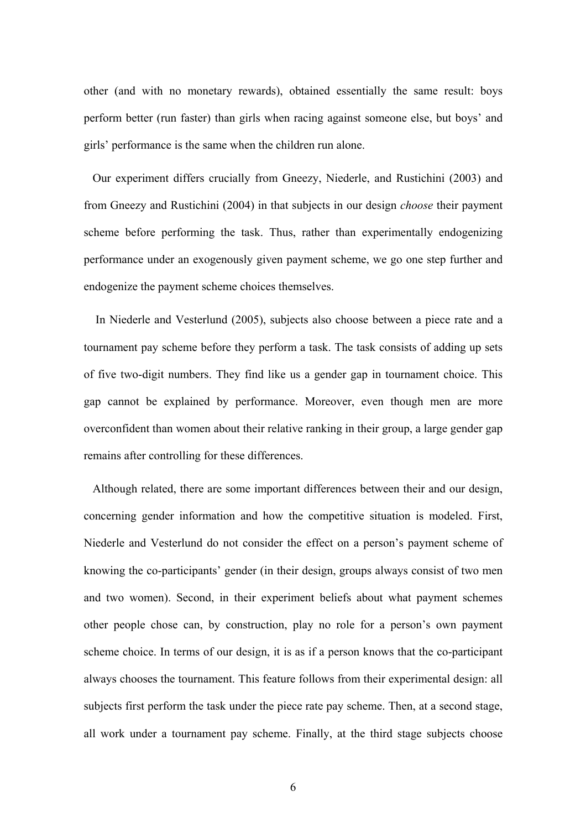other (and with no monetary rewards), obtained essentially the same result: boys perform better (run faster) than girls when racing against someone else, but boys' and girls' performance is the same when the children run alone.

 Our experiment differs crucially from Gneezy, Niederle, and Rustichini (2003) and from Gneezy and Rustichini (2004) in that subjects in our design *choose* their payment scheme before performing the task. Thus, rather than experimentally endogenizing performance under an exogenously given payment scheme, we go one step further and endogenize the payment scheme choices themselves.

 In Niederle and Vesterlund (2005), subjects also choose between a piece rate and a tournament pay scheme before they perform a task. The task consists of adding up sets of five two-digit numbers. They find like us a gender gap in tournament choice. This gap cannot be explained by performance. Moreover, even though men are more overconfident than women about their relative ranking in their group, a large gender gap remains after controlling for these differences.

 Although related, there are some important differences between their and our design, concerning gender information and how the competitive situation is modeled. First, Niederle and Vesterlund do not consider the effect on a person's payment scheme of knowing the co-participants' gender (in their design, groups always consist of two men and two women). Second, in their experiment beliefs about what payment schemes other people chose can, by construction, play no role for a person's own payment scheme choice. In terms of our design, it is as if a person knows that the co-participant always chooses the tournament. This feature follows from their experimental design: all subjects first perform the task under the piece rate pay scheme. Then, at a second stage, all work under a tournament pay scheme. Finally, at the third stage subjects choose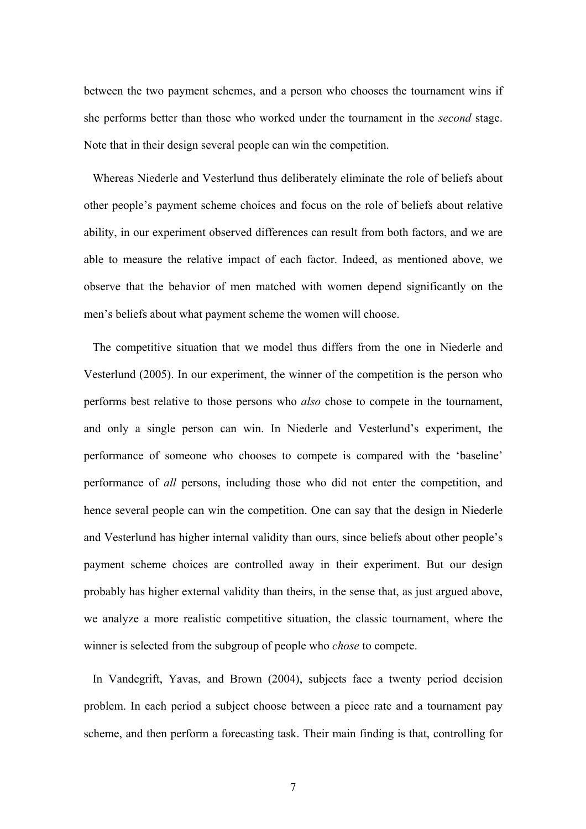between the two payment schemes, and a person who chooses the tournament wins if she performs better than those who worked under the tournament in the *second* stage. Note that in their design several people can win the competition.

 Whereas Niederle and Vesterlund thus deliberately eliminate the role of beliefs about other people's payment scheme choices and focus on the role of beliefs about relative ability, in our experiment observed differences can result from both factors, and we are able to measure the relative impact of each factor. Indeed, as mentioned above, we observe that the behavior of men matched with women depend significantly on the men's beliefs about what payment scheme the women will choose.

 The competitive situation that we model thus differs from the one in Niederle and Vesterlund (2005). In our experiment, the winner of the competition is the person who performs best relative to those persons who *also* chose to compete in the tournament, and only a single person can win. In Niederle and Vesterlund's experiment, the performance of someone who chooses to compete is compared with the 'baseline' performance of *all* persons, including those who did not enter the competition, and hence several people can win the competition. One can say that the design in Niederle and Vesterlund has higher internal validity than ours, since beliefs about other people's payment scheme choices are controlled away in their experiment. But our design probably has higher external validity than theirs, in the sense that, as just argued above, we analyze a more realistic competitive situation, the classic tournament, where the winner is selected from the subgroup of people who *chose* to compete.

 In Vandegrift, Yavas, and Brown (2004), subjects face a twenty period decision problem. In each period a subject choose between a piece rate and a tournament pay scheme, and then perform a forecasting task. Their main finding is that, controlling for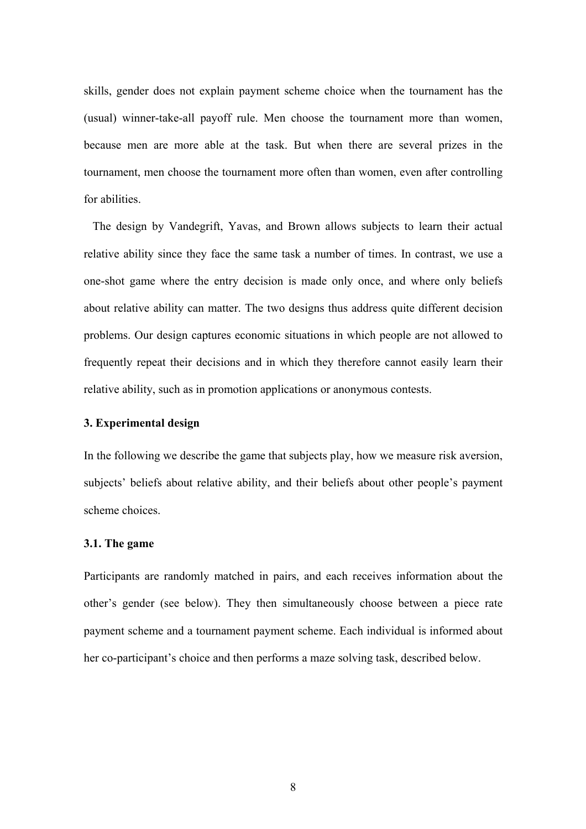skills, gender does not explain payment scheme choice when the tournament has the (usual) winner-take-all payoff rule. Men choose the tournament more than women, because men are more able at the task. But when there are several prizes in the tournament, men choose the tournament more often than women, even after controlling for abilities.

 The design by Vandegrift, Yavas, and Brown allows subjects to learn their actual relative ability since they face the same task a number of times. In contrast, we use a one-shot game where the entry decision is made only once, and where only beliefs about relative ability can matter. The two designs thus address quite different decision problems. Our design captures economic situations in which people are not allowed to frequently repeat their decisions and in which they therefore cannot easily learn their relative ability, such as in promotion applications or anonymous contests.

#### **3. Experimental design**

In the following we describe the game that subjects play, how we measure risk aversion, subjects' beliefs about relative ability, and their beliefs about other people's payment scheme choices.

#### **3.1. The game**

Participants are randomly matched in pairs, and each receives information about the other's gender (see below). They then simultaneously choose between a piece rate payment scheme and a tournament payment scheme. Each individual is informed about her co-participant's choice and then performs a maze solving task, described below.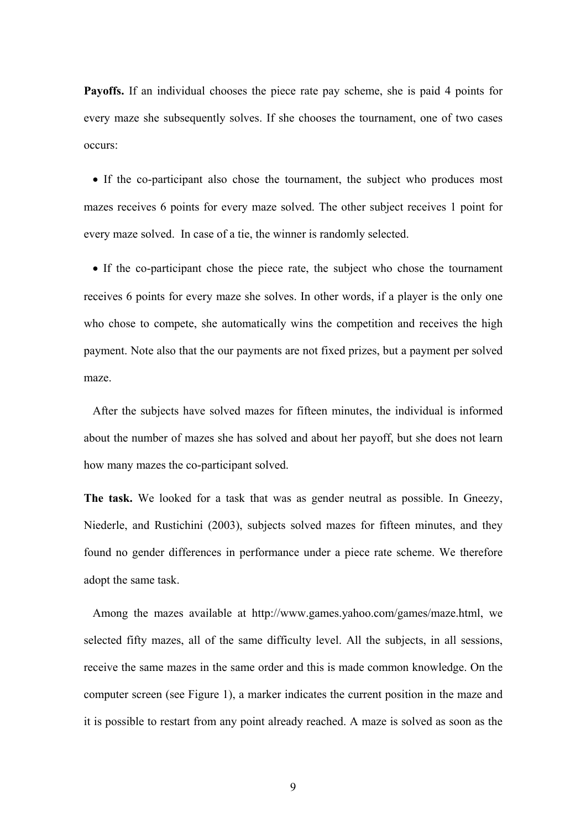**Payoffs.** If an individual chooses the piece rate pay scheme, she is paid 4 points for every maze she subsequently solves. If she chooses the tournament, one of two cases occurs:

• If the co-participant also chose the tournament, the subject who produces most mazes receives 6 points for every maze solved. The other subject receives 1 point for every maze solved. In case of a tie, the winner is randomly selected.

• If the co-participant chose the piece rate, the subject who chose the tournament receives 6 points for every maze she solves. In other words, if a player is the only one who chose to compete, she automatically wins the competition and receives the high payment. Note also that the our payments are not fixed prizes, but a payment per solved maze.

After the subjects have solved mazes for fifteen minutes, the individual is informed about the number of mazes she has solved and about her payoff, but she does not learn how many mazes the co-participant solved.

The task. We looked for a task that was as gender neutral as possible. In Gneezy, Niederle, and Rustichini (2003), subjects solved mazes for fifteen minutes, and they found no gender differences in performance under a piece rate scheme. We therefore adopt the same task.

 Among the mazes available at http://www.games.yahoo.com/games/maze.html, we selected fifty mazes, all of the same difficulty level. All the subjects, in all sessions, receive the same mazes in the same order and this is made common knowledge. On the computer screen (see Figure 1), a marker indicates the current position in the maze and it is possible to restart from any point already reached. A maze is solved as soon as the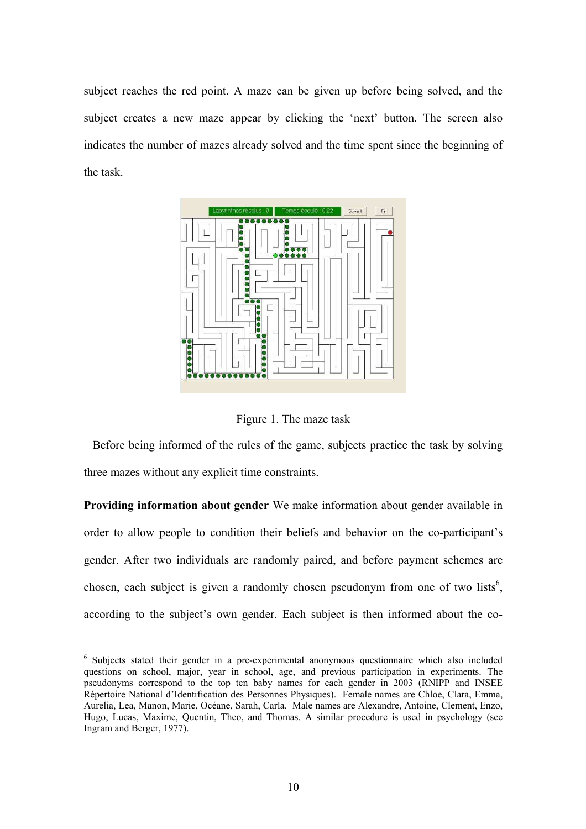subject reaches the red point. A maze can be given up before being solved, and the subject creates a new maze appear by clicking the 'next' button. The screen also indicates the number of mazes already solved and the time spent since the beginning of the task.



Figure 1. The maze task

Before being informed of the rules of the game, subjects practice the task by solving three mazes without any explicit time constraints.

**Providing information about gender** We make information about gender available in order to allow people to condition their beliefs and behavior on the co-participant's gender. After two individuals are randomly paired, and before payment schemes are chosen, each subject is given a randomly chosen pseudonym from one of two lists<sup>[6](#page-12-0)</sup>, according to the subject's own gender. Each subject is then informed about the co-

 $\overline{a}$ 

<span id="page-12-0"></span><sup>&</sup>lt;sup>6</sup> Subjects stated their gender in a pre-experimental anonymous questionnaire which also included questions on school, major, year in school, age, and previous participation in experiments. The pseudonyms correspond to the top ten baby names for each gender in 2003 (RNIPP and INSEE Répertoire National d'Identification des Personnes Physiques). Female names are Chloe, Clara, Emma, Aurelia, Lea, Manon, Marie, Océane, Sarah, Carla. Male names are Alexandre, Antoine, Clement, Enzo, Hugo, Lucas, Maxime, Quentin, Theo, and Thomas. A similar procedure is used in psychology (see Ingram and Berger, 1977).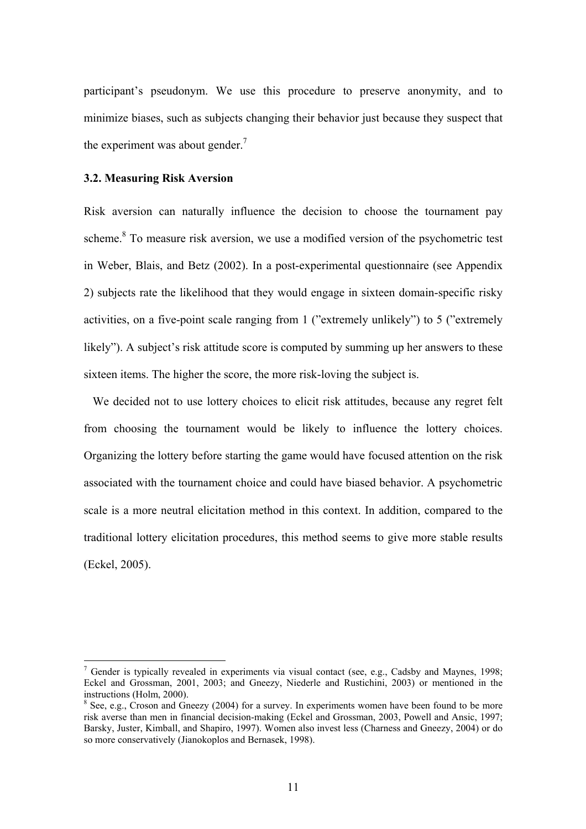participant's pseudonym. We use this procedure to preserve anonymity, and to minimize biases, such as subjects changing their behavior just because they suspect that the experiment was about gender. $<sup>7</sup>$  $<sup>7</sup>$  $<sup>7</sup>$ </sup>

### **3.2. Measuring Risk Aversion**

Risk aversion can naturally influence the decision to choose the tournament pay scheme.<sup>[8](#page-13-1)</sup> To measure risk aversion, we use a modified version of the psychometric test in Weber, Blais, and Betz (2002). In a post-experimental questionnaire (see Appendix 2) subjects rate the likelihood that they would engage in sixteen domain-specific risky activities, on a five-point scale ranging from 1 ("extremely unlikely") to 5 ("extremely likely"). A subject's risk attitude score is computed by summing up her answers to these sixteen items. The higher the score, the more risk-loving the subject is.

 We decided not to use lottery choices to elicit risk attitudes, because any regret felt from choosing the tournament would be likely to influence the lottery choices. Organizing the lottery before starting the game would have focused attention on the risk associated with the tournament choice and could have biased behavior. A psychometric scale is a more neutral elicitation method in this context. In addition, compared to the traditional lottery elicitation procedures, this method seems to give more stable results (Eckel, 2005).

<span id="page-13-0"></span><sup>&</sup>lt;sup>7</sup> Gender is typically revealed in experiments via visual contact (see, e.g., Cadsby and Maynes, 1998; Eckel and Grossman, 2001, 2003; and Gneezy, Niederle and Rustichini, 2003) or mentioned in the instructions (Holm, 2000).

<span id="page-13-1"></span><sup>&</sup>lt;sup>8</sup> See, e.g., Croson and Gneezy (2004) for a survey. In experiments women have been found to be more risk averse than men in financial decision-making (Eckel and Grossman, 2003, Powell and Ansic, 1997; Barsky, Juster, Kimball, and Shapiro, 1997). Women also invest less (Charness and Gneezy, 2004) or do so more conservatively (Jianokoplos and Bernasek, 1998).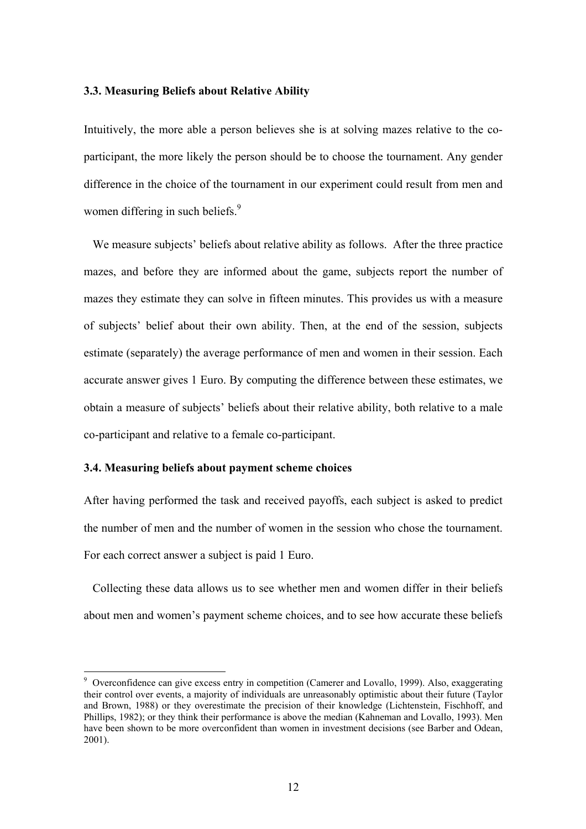#### **3.3. Measuring Beliefs about Relative Ability**

Intuitively, the more able a person believes she is at solving mazes relative to the coparticipant, the more likely the person should be to choose the tournament. Any gender difference in the choice of the tournament in our experiment could result from men and women differing in such beliefs.<sup>[9](#page-14-0)</sup>

We measure subjects' beliefs about relative ability as follows. After the three practice mazes, and before they are informed about the game, subjects report the number of mazes they estimate they can solve in fifteen minutes. This provides us with a measure of subjects' belief about their own ability. Then, at the end of the session, subjects estimate (separately) the average performance of men and women in their session. Each accurate answer gives 1 Euro. By computing the difference between these estimates, we obtain a measure of subjects' beliefs about their relative ability, both relative to a male co-participant and relative to a female co-participant.

#### **3.4. Measuring beliefs about payment scheme choices**

 $\overline{a}$ 

After having performed the task and received payoffs, each subject is asked to predict the number of men and the number of women in the session who chose the tournament. For each correct answer a subject is paid 1 Euro.

 Collecting these data allows us to see whether men and women differ in their beliefs about men and women's payment scheme choices, and to see how accurate these beliefs

<span id="page-14-0"></span><sup>&</sup>lt;sup>9</sup> Overconfidence can give excess entry in competition (Camerer and Lovallo, 1999). Also, exaggerating their control over events, a majority of individuals are unreasonably optimistic about their future (Taylor and Brown, 1988) or they overestimate the precision of their knowledge (Lichtenstein, Fischhoff, and Phillips, 1982); or they think their performance is above the median (Kahneman and Lovallo, 1993). Men have been shown to be more overconfident than women in investment decisions (see Barber and Odean, 2001).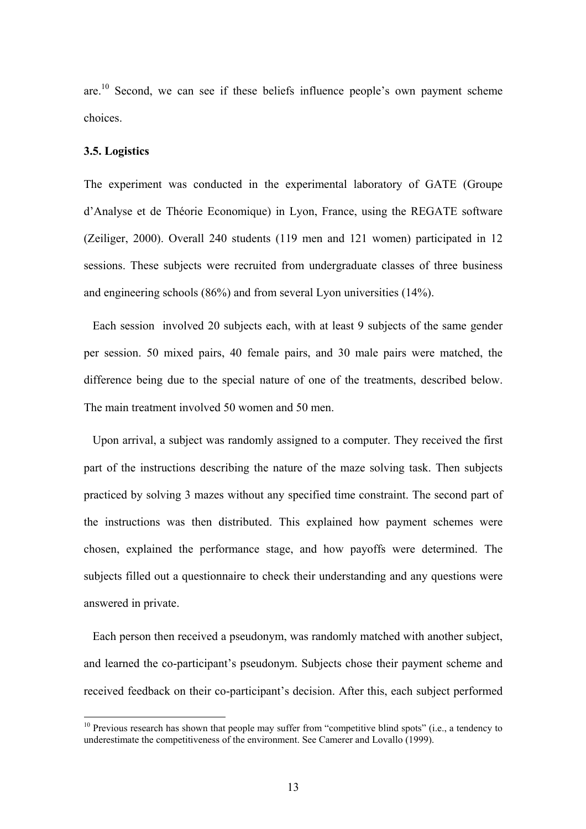are.[10](#page-15-0) Second, we can see if these beliefs influence people's own payment scheme choices.

#### **3.5. Logistics**

 $\overline{a}$ 

The experiment was conducted in the experimental laboratory of GATE (Groupe d'Analyse et de Théorie Economique) in Lyon, France, using the REGATE software (Zeiliger, 2000). Overall 240 students (119 men and 121 women) participated in 12 sessions. These subjects were recruited from undergraduate classes of three business and engineering schools (86%) and from several Lyon universities (14%).

 Each session involved 20 subjects each, with at least 9 subjects of the same gender per session. 50 mixed pairs, 40 female pairs, and 30 male pairs were matched, the difference being due to the special nature of one of the treatments, described below. The main treatment involved 50 women and 50 men.

 Upon arrival, a subject was randomly assigned to a computer. They received the first part of the instructions describing the nature of the maze solving task. Then subjects practiced by solving 3 mazes without any specified time constraint. The second part of the instructions was then distributed. This explained how payment schemes were chosen, explained the performance stage, and how payoffs were determined. The subjects filled out a questionnaire to check their understanding and any questions were answered in private.

 Each person then received a pseudonym, was randomly matched with another subject, and learned the co-participant's pseudonym. Subjects chose their payment scheme and received feedback on their co-participant's decision. After this, each subject performed

<span id="page-15-0"></span> $10$  Previous research has shown that people may suffer from "competitive blind spots" (i.e., a tendency to underestimate the competitiveness of the environment. See Camerer and Lovallo (1999).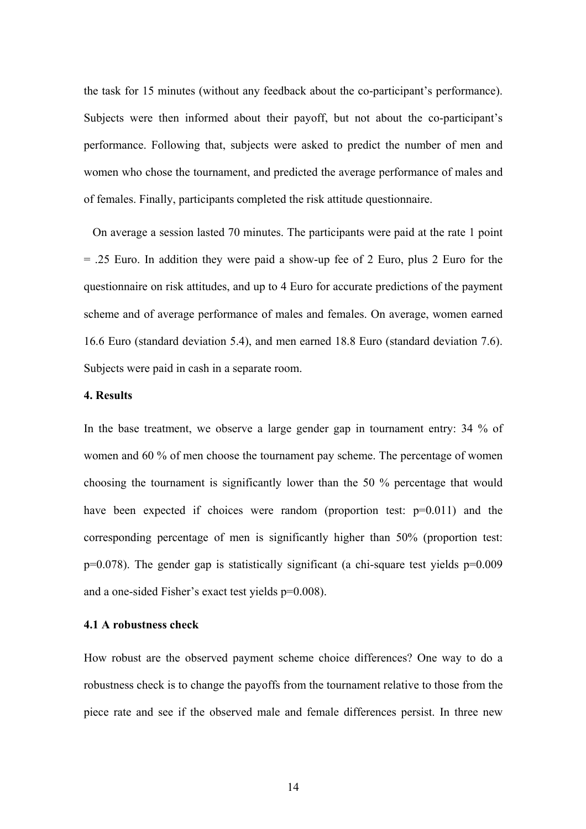the task for 15 minutes (without any feedback about the co-participant's performance). Subjects were then informed about their payoff, but not about the co-participant's performance. Following that, subjects were asked to predict the number of men and women who chose the tournament, and predicted the average performance of males and of females. Finally, participants completed the risk attitude questionnaire.

 On average a session lasted 70 minutes. The participants were paid at the rate 1 point = .25 Euro. In addition they were paid a show-up fee of 2 Euro, plus 2 Euro for the questionnaire on risk attitudes, and up to 4 Euro for accurate predictions of the payment scheme and of average performance of males and females. On average, women earned 16.6 Euro (standard deviation 5.4), and men earned 18.8 Euro (standard deviation 7.6). Subjects were paid in cash in a separate room.

#### **4. Results**

In the base treatment, we observe a large gender gap in tournament entry: 34 % of women and 60 % of men choose the tournament pay scheme. The percentage of women choosing the tournament is significantly lower than the 50 % percentage that would have been expected if choices were random (proportion test: p=0.011) and the corresponding percentage of men is significantly higher than 50% (proportion test: p=0.078). The gender gap is statistically significant (a chi-square test yields p=0.009 and a one-sided Fisher's exact test yields p=0.008).

#### **4.1 A robustness check**

How robust are the observed payment scheme choice differences? One way to do a robustness check is to change the payoffs from the tournament relative to those from the piece rate and see if the observed male and female differences persist. In three new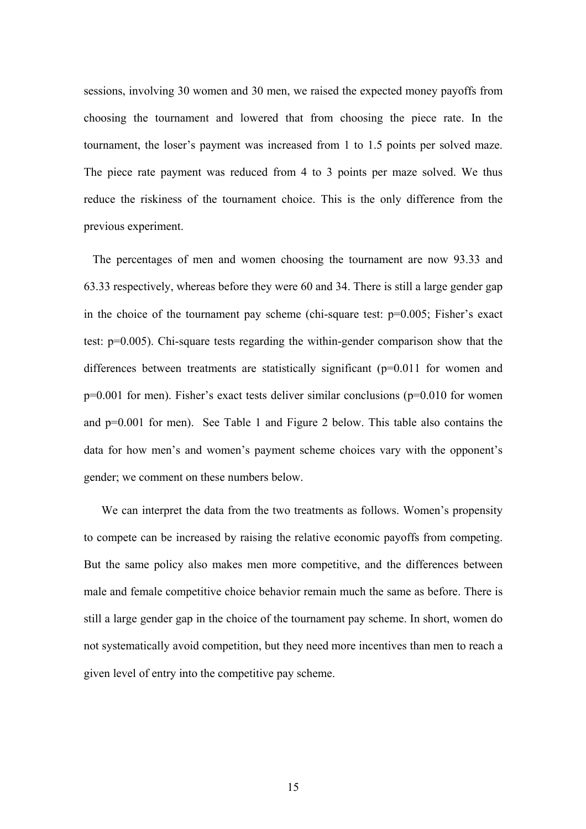sessions, involving 30 women and 30 men, we raised the expected money payoffs from choosing the tournament and lowered that from choosing the piece rate. In the tournament, the loser's payment was increased from 1 to 1.5 points per solved maze. The piece rate payment was reduced from 4 to 3 points per maze solved. We thus reduce the riskiness of the tournament choice. This is the only difference from the previous experiment.

The percentages of men and women choosing the tournament are now 93.33 and 63.33 respectively, whereas before they were 60 and 34. There is still a large gender gap in the choice of the tournament pay scheme (chi-square test: p=0.005; Fisher's exact test: p=0.005). Chi-square tests regarding the within-gender comparison show that the differences between treatments are statistically significant (p=0.011 for women and p=0.001 for men). Fisher's exact tests deliver similar conclusions (p=0.010 for women and p=0.001 for men). See Table 1 and Figure 2 below. This table also contains the data for how men's and women's payment scheme choices vary with the opponent's gender; we comment on these numbers below.

 We can interpret the data from the two treatments as follows. Women's propensity to compete can be increased by raising the relative economic payoffs from competing. But the same policy also makes men more competitive, and the differences between male and female competitive choice behavior remain much the same as before. There is still a large gender gap in the choice of the tournament pay scheme. In short, women do not systematically avoid competition, but they need more incentives than men to reach a given level of entry into the competitive pay scheme.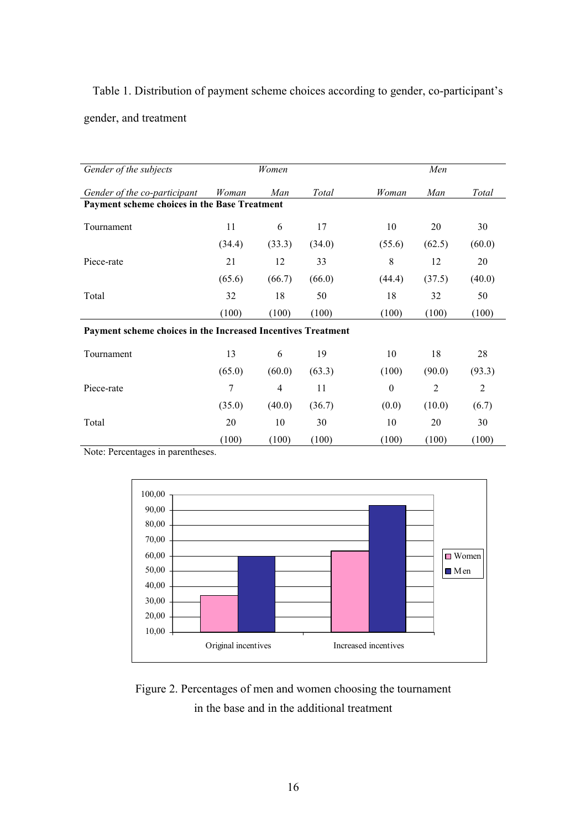|                       | Table 1. Distribution of payment scheme choices according to gender, co-participant's |  |  |  |
|-----------------------|---------------------------------------------------------------------------------------|--|--|--|
| gender, and treatment |                                                                                       |  |  |  |

| Gender of the subjects                                       | Women  |                |        |                  | Men            |                |  |
|--------------------------------------------------------------|--------|----------------|--------|------------------|----------------|----------------|--|
| Gender of the co-participant                                 | Woman  | Man            | Total  | Woman            | Man            | Total          |  |
| Payment scheme choices in the Base Treatment                 |        |                |        |                  |                |                |  |
| Tournament                                                   | 11     | 6              | 17     | 10               | 20             | 30             |  |
|                                                              | (34.4) | (33.3)         | (34.0) | (55.6)           | (62.5)         | (60.0)         |  |
| Piece-rate                                                   | 21     | 12             | 33     | 8                | 12             | 20             |  |
|                                                              | (65.6) | (66.7)         | (66.0) | (44.4)           | (37.5)         | (40.0)         |  |
| Total                                                        | 32     | 18             | 50     | 18               | 32             | 50             |  |
|                                                              | (100)  | (100)          | (100)  | (100)            | (100)          | (100)          |  |
| Payment scheme choices in the Increased Incentives Treatment |        |                |        |                  |                |                |  |
| Tournament                                                   | 13     | 6              | 19     | 10               | 18             | 28             |  |
|                                                              | (65.0) | (60.0)         | (63.3) | (100)            | (90.0)         | (93.3)         |  |
| Piece-rate                                                   | 7      | $\overline{4}$ | 11     | $\boldsymbol{0}$ | $\overline{2}$ | $\overline{2}$ |  |
|                                                              | (35.0) | (40.0)         | (36.7) | (0.0)            | (10.0)         | (6.7)          |  |
| Total                                                        | 20     | 10             | 30     | 10               | 20             | 30             |  |
|                                                              | (100)  | (100)          | (100)  | (100)            | (100)          | (100)          |  |

Note: Percentages in parentheses.



Figure 2. Percentages of men and women choosing the tournament in the base and in the additional treatment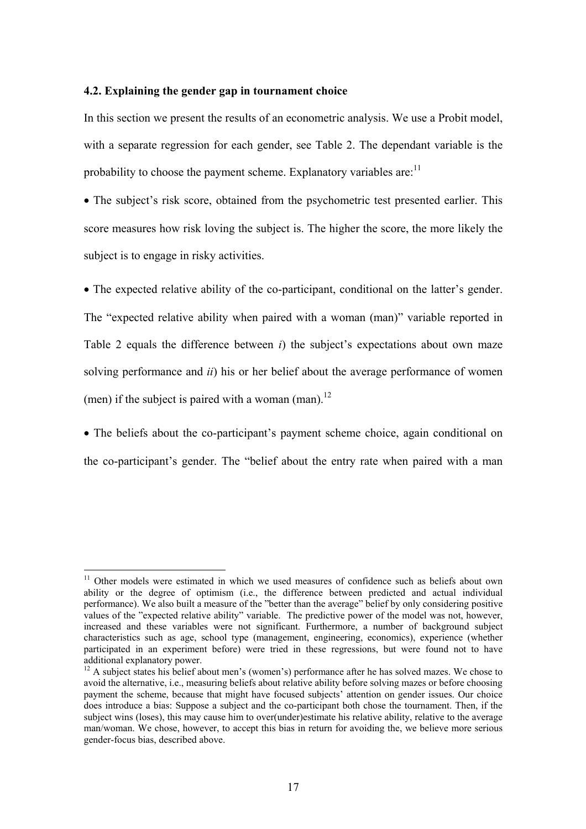#### **4.2. Explaining the gender gap in tournament choice**

In this section we present the results of an econometric analysis. We use a Probit model, with a separate regression for each gender, see Table 2. The dependant variable is the probability to choose the payment scheme. Explanatory variables are:  $11$ 

• The subject's risk score, obtained from the psychometric test presented earlier. This score measures how risk loving the subject is. The higher the score, the more likely the subject is to engage in risky activities.

• The expected relative ability of the co-participant, conditional on the latter's gender. The "expected relative ability when paired with a woman (man)" variable reported in Table 2 equals the difference between *i*) the subject's expectations about own maze solving performance and *ii*) his or her belief about the average performance of women (men) if the subject is paired with a woman (man).<sup>[12](#page-19-1)</sup>

• The beliefs about the co-participant's payment scheme choice, again conditional on the co-participant's gender. The "belief about the entry rate when paired with a man

 $\overline{a}$ 

<span id="page-19-0"></span><sup>&</sup>lt;sup>11</sup> Other models were estimated in which we used measures of confidence such as beliefs about own ability or the degree of optimism (i.e., the difference between predicted and actual individual performance). We also built a measure of the "better than the average" belief by only considering positive values of the "expected relative ability" variable. The predictive power of the model was not, however, increased and these variables were not significant. Furthermore, a number of background subject characteristics such as age, school type (management, engineering, economics), experience (whether participated in an experiment before) were tried in these regressions, but were found not to have additional explanatory power.

<span id="page-19-1"></span> $12$  A subject states his belief about men's (women's) performance after he has solved mazes. We chose to avoid the alternative, i.e., measuring beliefs about relative ability before solving mazes or before choosing payment the scheme, because that might have focused subjects' attention on gender issues. Our choice does introduce a bias: Suppose a subject and the co-participant both chose the tournament. Then, if the subject wins (loses), this may cause him to over(under)estimate his relative ability, relative to the average man/woman. We chose, however, to accept this bias in return for avoiding the, we believe more serious gender-focus bias, described above.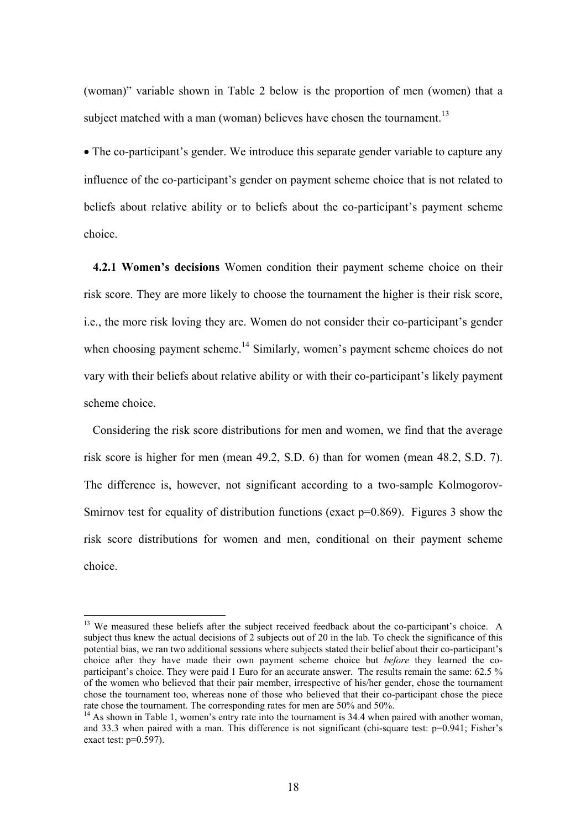(woman)" variable shown in Table 2 below is the proportion of men (women) that a subject matched with a man (woman) believes have chosen the tournament.<sup>[13](#page-20-0)</sup>

• The co-participant's gender. We introduce this separate gender variable to capture any influence of the co-participant's gender on payment scheme choice that is not related to beliefs about relative ability or to beliefs about the co-participant's payment scheme choice.

**4.2.1 Women's decisions** Women condition their payment scheme choice on their risk score. They are more likely to choose the tournament the higher is their risk score, i.e., the more risk loving they are. Women do not consider their co-participant's gender when choosing payment scheme.<sup>[14](#page-20-1)</sup> Similarly, women's payment scheme choices do not vary with their beliefs about relative ability or with their co-participant's likely payment scheme choice.

Considering the risk score distributions for men and women, we find that the average risk score is higher for men (mean 49.2, S.D. 6) than for women (mean 48.2, S.D. 7). The difference is, however, not significant according to a two-sample Kolmogorov-Smirnov test for equality of distribution functions (exact  $p=0.869$ ). Figures 3 show the risk score distributions for women and men, conditional on their payment scheme choice.

 $\overline{a}$ 

<span id="page-20-0"></span><sup>&</sup>lt;sup>13</sup> We measured these beliefs after the subject received feedback about the co-participant's choice. A subject thus knew the actual decisions of 2 subjects out of 20 in the lab. To check the significance of this potential bias, we ran two additional sessions where subjects stated their belief about their co-participant's choice after they have made their own payment scheme choice but *before* they learned the coparticipant's choice. They were paid 1 Euro for an accurate answer. The results remain the same: 62.5 % of the women who believed that their pair member, irrespective of his/her gender, chose the tournament chose the tournament too, whereas none of those who believed that their co-participant chose the piece rate chose the tournament. The corresponding rates for men are 50% and 50%.

<span id="page-20-1"></span><sup>&</sup>lt;sup>14</sup> As shown in Table 1, women's entry rate into the tournament is 34.4 when paired with another woman, and 33.3 when paired with a man. This difference is not significant (chi-square test: p=0.941; Fisher's exact test:  $p=0.597$ ).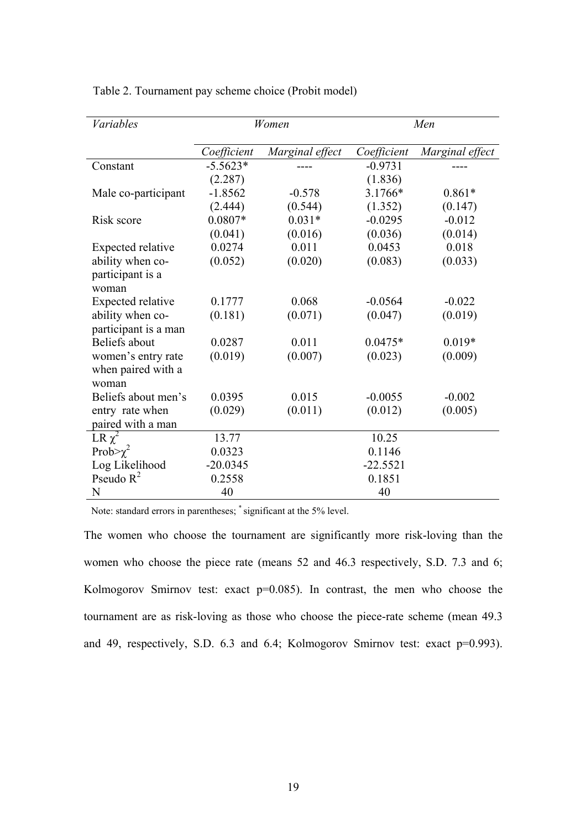| <b>Variables</b>                         |             | Women           | Men         |                 |  |
|------------------------------------------|-------------|-----------------|-------------|-----------------|--|
|                                          | Coefficient | Marginal effect | Coefficient | Marginal effect |  |
| Constant                                 | $-5.5623*$  |                 | $-0.9731$   |                 |  |
|                                          | (2.287)     |                 | (1.836)     |                 |  |
| Male co-participant                      | $-1.8562$   | $-0.578$        | 3.1766*     | $0.861*$        |  |
|                                          | (2.444)     | (0.544)         | (1.352)     | (0.147)         |  |
| Risk score                               | $0.0807*$   | $0.031*$        | $-0.0295$   | $-0.012$        |  |
|                                          | (0.041)     | (0.016)         | (0.036)     | (0.014)         |  |
| Expected relative                        | 0.0274      | 0.011           | 0.0453      | 0.018           |  |
| ability when co-                         | (0.052)     | (0.020)         | (0.083)     | (0.033)         |  |
| participant is a                         |             |                 |             |                 |  |
| woman                                    |             |                 |             |                 |  |
| Expected relative                        | 0.1777      | 0.068           | $-0.0564$   | $-0.022$        |  |
| ability when co-<br>participant is a man | (0.181)     | (0.071)         | (0.047)     | (0.019)         |  |
| Beliefs about                            | 0.0287      | 0.011           | $0.0475*$   | $0.019*$        |  |
|                                          | (0.019)     | (0.007)         | (0.023)     | (0.009)         |  |
| women's entry rate                       |             |                 |             |                 |  |
| when paired with a<br>woman              |             |                 |             |                 |  |
| Beliefs about men's                      | 0.0395      | 0.015           | $-0.0055$   | $-0.002$        |  |
| entry rate when                          | (0.029)     | (0.011)         | (0.012)     | (0.005)         |  |
| paired with a man                        |             |                 |             |                 |  |
| LR $\chi^2$                              | 13.77       |                 | 10.25       |                 |  |
| Prob $\geq \chi^2$                       | 0.0323      |                 | 0.1146      |                 |  |
| Log Likelihood                           | $-20.0345$  |                 | $-22.5521$  |                 |  |
| Pseudo $R^2$                             | 0.2558      |                 | 0.1851      |                 |  |
| N                                        | 40          |                 | 40          |                 |  |

Table 2. Tournament pay scheme choice (Probit model)

Note: standard errors in parentheses; \* significant at the 5% level.

The women who choose the tournament are significantly more risk-loving than the women who choose the piece rate (means 52 and 46.3 respectively, S.D. 7.3 and 6; Kolmogorov Smirnov test: exact p=0.085). In contrast, the men who choose the tournament are as risk-loving as those who choose the piece-rate scheme (mean 49.3 and 49, respectively, S.D. 6.3 and 6.4; Kolmogorov Smirnov test: exact p=0.993).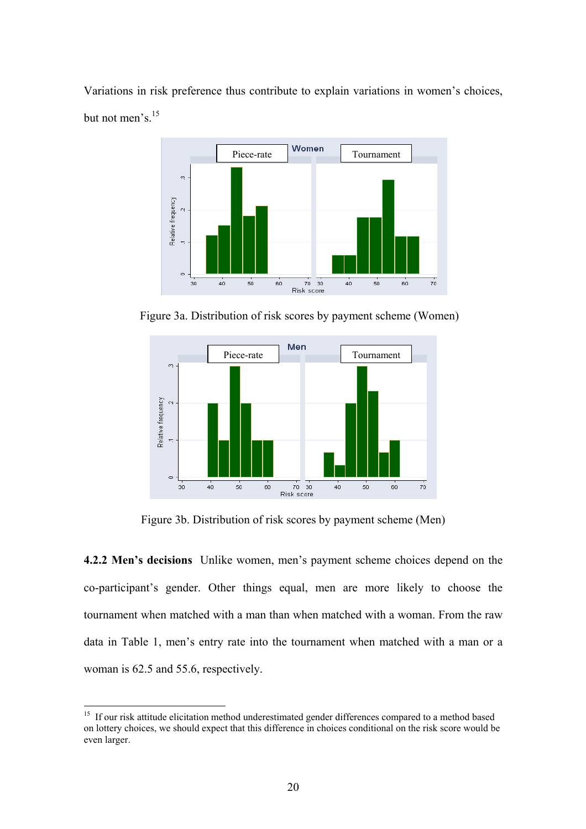Variations in risk preference thus contribute to explain variations in women's choices, but not men's.<sup>[15](#page-22-0)</sup>



Figure 3a. Distribution of risk scores by payment scheme (Women)



Figure 3b. Distribution of risk scores by payment scheme (Men)

**4.2.2 Men's decisions** Unlike women, men's payment scheme choices depend on the co-participant's gender. Other things equal, men are more likely to choose the tournament when matched with a man than when matched with a woman. From the raw data in Table 1, men's entry rate into the tournament when matched with a man or a woman is 62.5 and 55.6, respectively.

<span id="page-22-0"></span> $\overline{a}$ <sup>15</sup> If our risk attitude elicitation method underestimated gender differences compared to a method based on lottery choices, we should expect that this difference in choices conditional on the risk score would be even larger.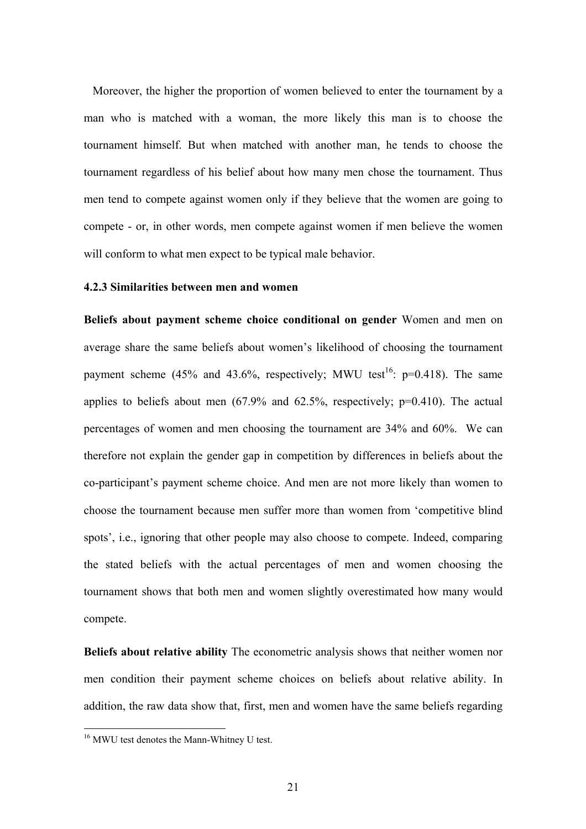Moreover, the higher the proportion of women believed to enter the tournament by a man who is matched with a woman, the more likely this man is to choose the tournament himself. But when matched with another man, he tends to choose the tournament regardless of his belief about how many men chose the tournament. Thus men tend to compete against women only if they believe that the women are going to compete - or, in other words, men compete against women if men believe the women will conform to what men expect to be typical male behavior.

#### **4.2.3 Similarities between men and women**

**Beliefs about payment scheme choice conditional on gender** Women and men on average share the same beliefs about women's likelihood of choosing the tournament payment scheme (45% and 43.6%, respectively; MWU test<sup>[16](#page-23-0)</sup>:  $p=0.418$ ). The same applies to beliefs about men (67.9% and 62.5%, respectively; p=0.410). The actual percentages of women and men choosing the tournament are 34% and 60%. We can therefore not explain the gender gap in competition by differences in beliefs about the co-participant's payment scheme choice. And men are not more likely than women to choose the tournament because men suffer more than women from 'competitive blind spots', i.e., ignoring that other people may also choose to compete. Indeed, comparing the stated beliefs with the actual percentages of men and women choosing the tournament shows that both men and women slightly overestimated how many would compete.

**Beliefs about relative ability** The econometric analysis shows that neither women nor men condition their payment scheme choices on beliefs about relative ability. In addition, the raw data show that, first, men and women have the same beliefs regarding

 $\overline{a}$ 

<span id="page-23-0"></span><sup>&</sup>lt;sup>16</sup> MWU test denotes the Mann-Whitney U test.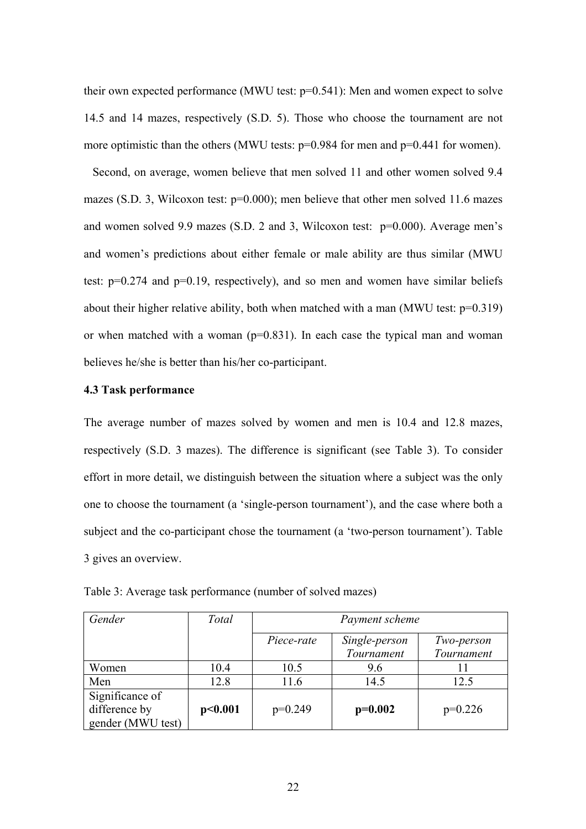their own expected performance (MWU test: p=0.541): Men and women expect to solve 14.5 and 14 mazes, respectively (S.D. 5). Those who choose the tournament are not more optimistic than the others (MWU tests:  $p=0.984$  for men and  $p=0.441$  for women).

 Second, on average, women believe that men solved 11 and other women solved 9.4 mazes (S.D. 3, Wilcoxon test: p=0.000); men believe that other men solved 11.6 mazes and women solved 9.9 mazes (S.D. 2 and 3, Wilcoxon test: p=0.000). Average men's and women's predictions about either female or male ability are thus similar (MWU test:  $p=0.274$  and  $p=0.19$ , respectively), and so men and women have similar beliefs about their higher relative ability, both when matched with a man (MWU test: p=0.319) or when matched with a woman  $(p=0.831)$ . In each case the typical man and woman believes he/she is better than his/her co-participant.

#### **4.3 Task performance**

The average number of mazes solved by women and men is 10.4 and 12.8 mazes, respectively (S.D. 3 mazes). The difference is significant (see Table 3). To consider effort in more detail, we distinguish between the situation where a subject was the only one to choose the tournament (a 'single-person tournament'), and the case where both a subject and the co-participant chose the tournament (a 'two-person tournament'). Table 3 gives an overview.

| Gender            | Total   | Payment scheme              |            |            |  |
|-------------------|---------|-----------------------------|------------|------------|--|
|                   |         | Single-person<br>Piece-rate |            | Two-person |  |
|                   |         |                             | Tournament | Tournament |  |
| Women             | 10.4    | 10.5                        | 9.6        |            |  |
| Men               | 12.8    | 11.6                        | 14.5       | 12.5       |  |
| Significance of   |         |                             |            |            |  |
| difference by     | p<0.001 | $p=0.249$                   | $p=0.002$  | $p=0.226$  |  |
| gender (MWU test) |         |                             |            |            |  |

Table 3: Average task performance (number of solved mazes)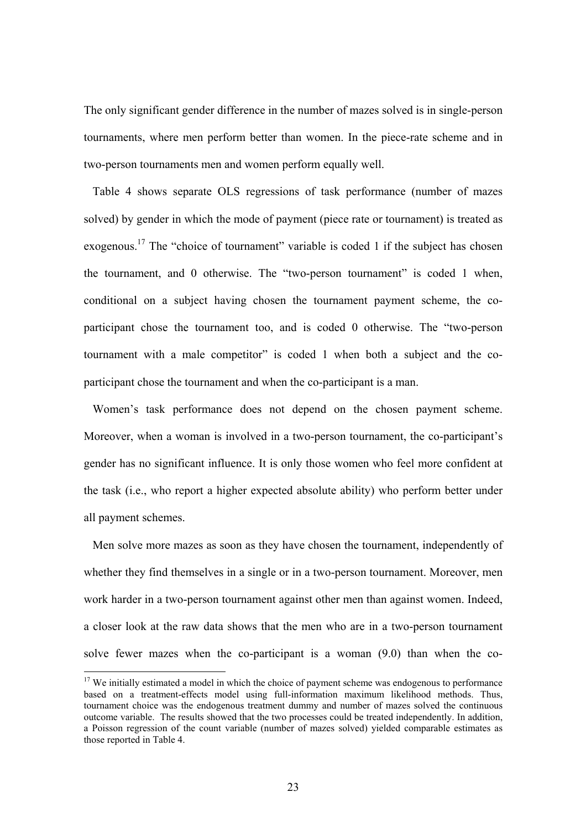The only significant gender difference in the number of mazes solved is in single-person tournaments, where men perform better than women. In the piece-rate scheme and in two-person tournaments men and women perform equally well.

Table 4 shows separate OLS regressions of task performance (number of mazes solved) by gender in which the mode of payment (piece rate or tournament) is treated as exogenous.<sup>[17](#page-25-0)</sup> The "choice of tournament" variable is coded 1 if the subject has chosen the tournament, and 0 otherwise. The "two-person tournament" is coded 1 when, conditional on a subject having chosen the tournament payment scheme, the coparticipant chose the tournament too, and is coded 0 otherwise. The "two-person tournament with a male competitor" is coded 1 when both a subject and the coparticipant chose the tournament and when the co-participant is a man.

 Women's task performance does not depend on the chosen payment scheme. Moreover, when a woman is involved in a two-person tournament, the co-participant's gender has no significant influence. It is only those women who feel more confident at the task (i.e., who report a higher expected absolute ability) who perform better under all payment schemes.

 Men solve more mazes as soon as they have chosen the tournament, independently of whether they find themselves in a single or in a two-person tournament. Moreover, men work harder in a two-person tournament against other men than against women. Indeed, a closer look at the raw data shows that the men who are in a two-person tournament solve fewer mazes when the co-participant is a woman (9.0) than when the co-

 $\overline{a}$ 

<span id="page-25-0"></span> $17$  We initially estimated a model in which the choice of payment scheme was endogenous to performance based on a treatment-effects model using full-information maximum likelihood methods. Thus, tournament choice was the endogenous treatment dummy and number of mazes solved the continuous outcome variable. The results showed that the two processes could be treated independently. In addition, a Poisson regression of the count variable (number of mazes solved) yielded comparable estimates as those reported in Table 4.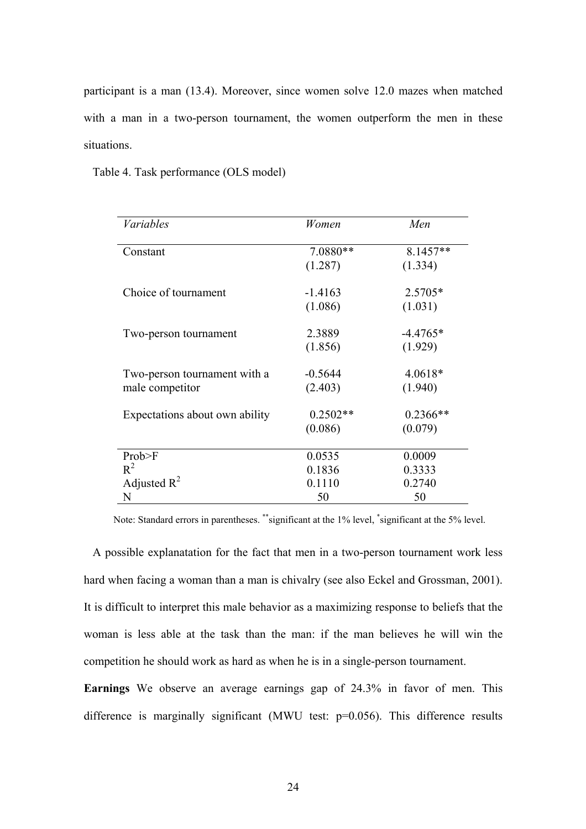participant is a man (13.4). Moreover, since women solve 12.0 mazes when matched with a man in a two-person tournament, the women outperform the men in these situations.

Table 4. Task performance (OLS model)

| Variables                      | Women      | Men        |
|--------------------------------|------------|------------|
| Constant                       | 7.0880**   | 8.1457**   |
|                                | (1.287)    | (1.334)    |
| Choice of tournament           | $-1.4163$  | 2.5705*    |
|                                | (1.086)    | (1.031)    |
| Two-person tournament          | 2.3889     | $-4.4765*$ |
|                                | (1.856)    | (1.929)    |
| Two-person tournament with a   | $-0.5644$  | 4.0618*    |
| male competitor                | (2.403)    | (1.940)    |
| Expectations about own ability | $0.2502**$ | $0.2366**$ |
|                                | (0.086)    | (0.079)    |
|                                |            |            |
| Prob>F                         | 0.0535     | 0.0009     |
| $R^2$                          | 0.1836     | 0.3333     |
| Adjusted $R^2$                 | 0.1110     | 0.2740     |
| N                              | 50         | 50         |

Note: Standard errors in parentheses. \*\*significant at the 1% level, \* significant at the 5% level.

 A possible explanatation for the fact that men in a two-person tournament work less hard when facing a woman than a man is chivalry (see also Eckel and Grossman, 2001). It is difficult to interpret this male behavior as a maximizing response to beliefs that the woman is less able at the task than the man: if the man believes he will win the competition he should work as hard as when he is in a single-person tournament.

**Earnings** We observe an average earnings gap of 24.3% in favor of men. This difference is marginally significant (MWU test:  $p=0.056$ ). This difference results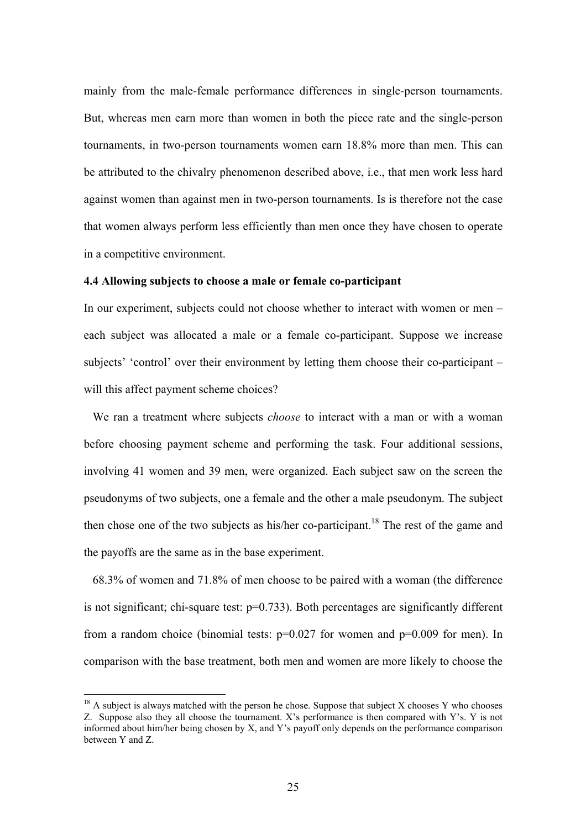mainly from the male-female performance differences in single-person tournaments. But, whereas men earn more than women in both the piece rate and the single-person tournaments, in two-person tournaments women earn 18.8% more than men. This can be attributed to the chivalry phenomenon described above, i.e., that men work less hard against women than against men in two-person tournaments. Is is therefore not the case that women always perform less efficiently than men once they have chosen to operate in a competitive environment.

#### **4.4 Allowing subjects to choose a male or female co-participant**

In our experiment, subjects could not choose whether to interact with women or men – each subject was allocated a male or a female co-participant. Suppose we increase subjects' 'control' over their environment by letting them choose their co-participant – will this affect payment scheme choices?

 We ran a treatment where subjects *choose* to interact with a man or with a woman before choosing payment scheme and performing the task. Four additional sessions, involving 41 women and 39 men, were organized. Each subject saw on the screen the pseudonyms of two subjects, one a female and the other a male pseudonym. The subject then chose one of the two subjects as his/her co-participant.<sup>[18](#page-27-0)</sup> The rest of the game and the payoffs are the same as in the base experiment.

 68.3% of women and 71.8% of men choose to be paired with a woman (the difference is not significant; chi-square test:  $p=0.733$ ). Both percentages are significantly different from a random choice (binomial tests:  $p=0.027$  for women and  $p=0.009$  for men). In comparison with the base treatment, both men and women are more likely to choose the

 $\overline{a}$ 

<span id="page-27-0"></span> $18$  A subject is always matched with the person he chose. Suppose that subject X chooses Y who chooses Z. Suppose also they all choose the tournament. X's performance is then compared with Y's. Y is not informed about him/her being chosen by X, and Y's payoff only depends on the performance comparison between Y and Z.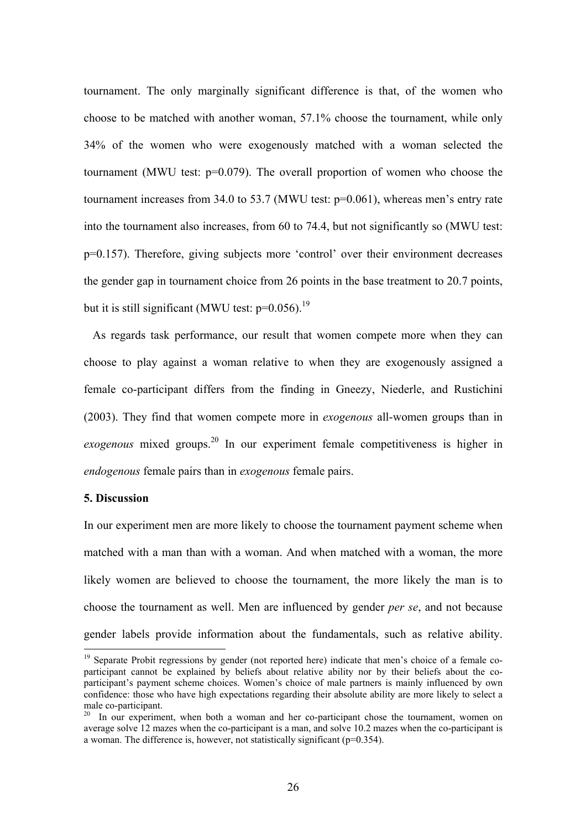tournament. The only marginally significant difference is that, of the women who choose to be matched with another woman, 57.1% choose the tournament, while only 34% of the women who were exogenously matched with a woman selected the tournament (MWU test: p=0.079). The overall proportion of women who choose the tournament increases from 34.0 to 53.7 (MWU test: p=0.061), whereas men's entry rate into the tournament also increases, from 60 to 74.4, but not significantly so (MWU test: p=0.157). Therefore, giving subjects more 'control' over their environment decreases the gender gap in tournament choice from 26 points in the base treatment to 20.7 points, but it is still significant (MWU test:  $p=0.056$ ).<sup>[19](#page-28-0)</sup>

 As regards task performance, our result that women compete more when they can choose to play against a woman relative to when they are exogenously assigned a female co-participant differs from the finding in Gneezy, Niederle, and Rustichini (2003). They find that women compete more in *exogenous* all-women groups than in *exogenous* mixed groups.<sup>[20](#page-28-1)</sup> In our experiment female competitiveness is higher in *endogenous* female pairs than in *exogenous* female pairs.

#### **5. Discussion**

 $\overline{a}$ 

In our experiment men are more likely to choose the tournament payment scheme when matched with a man than with a woman. And when matched with a woman, the more likely women are believed to choose the tournament, the more likely the man is to choose the tournament as well. Men are influenced by gender *per se*, and not because gender labels provide information about the fundamentals, such as relative ability.

<span id="page-28-0"></span><sup>&</sup>lt;sup>19</sup> Separate Probit regressions by gender (not reported here) indicate that men's choice of a female coparticipant cannot be explained by beliefs about relative ability nor by their beliefs about the coparticipant's payment scheme choices. Women's choice of male partners is mainly influenced by own confidence: those who have high expectations regarding their absolute ability are more likely to select a male co-participant.

<span id="page-28-1"></span><sup>&</sup>lt;sup>20</sup> In our experiment, when both a woman and her co-participant chose the tournament, women on average solve 12 mazes when the co-participant is a man, and solve 10.2 mazes when the co-participant is a woman. The difference is, however, not statistically significant  $(p=0.354)$ .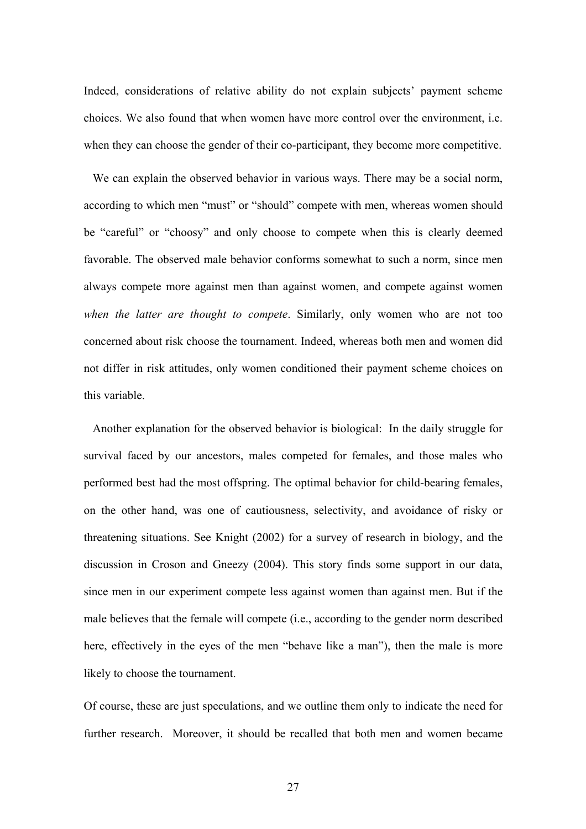Indeed, considerations of relative ability do not explain subjects' payment scheme choices. We also found that when women have more control over the environment, i.e. when they can choose the gender of their co-participant, they become more competitive.

We can explain the observed behavior in various ways. There may be a social norm, according to which men "must" or "should" compete with men, whereas women should be "careful" or "choosy" and only choose to compete when this is clearly deemed favorable. The observed male behavior conforms somewhat to such a norm, since men always compete more against men than against women, and compete against women *when the latter are thought to compete*. Similarly, only women who are not too concerned about risk choose the tournament. Indeed, whereas both men and women did not differ in risk attitudes, only women conditioned their payment scheme choices on this variable.

 Another explanation for the observed behavior is biological: In the daily struggle for survival faced by our ancestors, males competed for females, and those males who performed best had the most offspring. The optimal behavior for child-bearing females, on the other hand, was one of cautiousness, selectivity, and avoidance of risky or threatening situations. See Knight (2002) for a survey of research in biology, and the discussion in Croson and Gneezy (2004). This story finds some support in our data, since men in our experiment compete less against women than against men. But if the male believes that the female will compete (i.e., according to the gender norm described here, effectively in the eyes of the men "behave like a man"), then the male is more likely to choose the tournament.

Of course, these are just speculations, and we outline them only to indicate the need for further research. Moreover, it should be recalled that both men and women became

27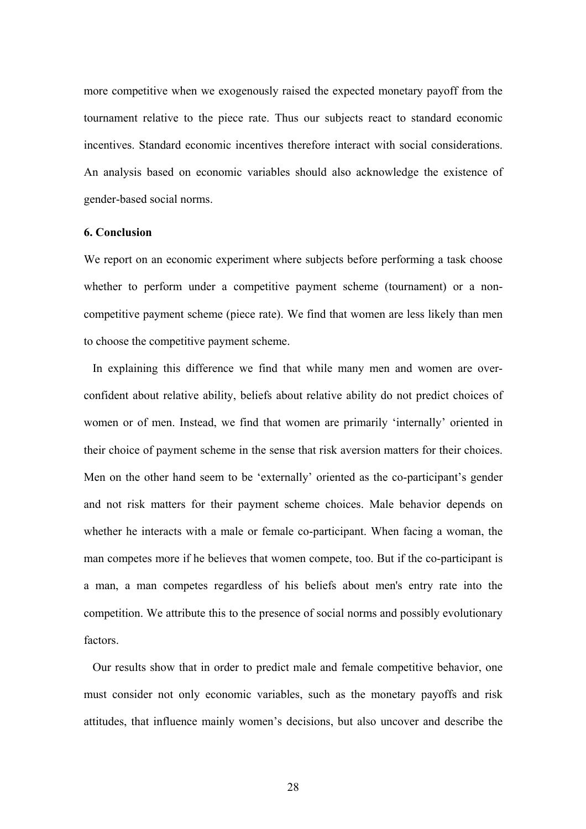more competitive when we exogenously raised the expected monetary payoff from the tournament relative to the piece rate. Thus our subjects react to standard economic incentives. Standard economic incentives therefore interact with social considerations. An analysis based on economic variables should also acknowledge the existence of gender-based social norms.

#### **6. Conclusion**

We report on an economic experiment where subjects before performing a task choose whether to perform under a competitive payment scheme (tournament) or a noncompetitive payment scheme (piece rate). We find that women are less likely than men to choose the competitive payment scheme.

 In explaining this difference we find that while many men and women are overconfident about relative ability, beliefs about relative ability do not predict choices of women or of men. Instead, we find that women are primarily 'internally' oriented in their choice of payment scheme in the sense that risk aversion matters for their choices. Men on the other hand seem to be 'externally' oriented as the co-participant's gender and not risk matters for their payment scheme choices. Male behavior depends on whether he interacts with a male or female co-participant. When facing a woman, the man competes more if he believes that women compete, too. But if the co-participant is a man, a man competes regardless of his beliefs about men's entry rate into the competition. We attribute this to the presence of social norms and possibly evolutionary factors.

 Our results show that in order to predict male and female competitive behavior, one must consider not only economic variables, such as the monetary payoffs and risk attitudes, that influence mainly women's decisions, but also uncover and describe the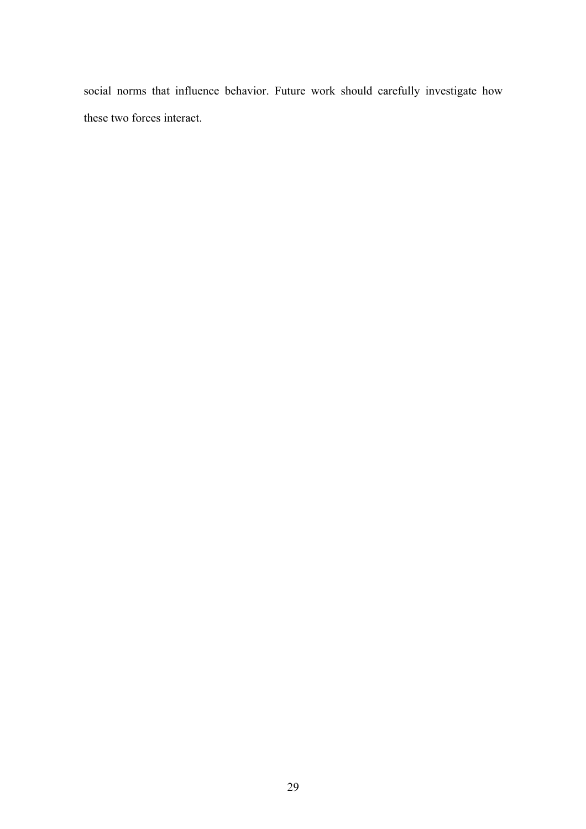social norms that influence behavior. Future work should carefully investigate how these two forces interact.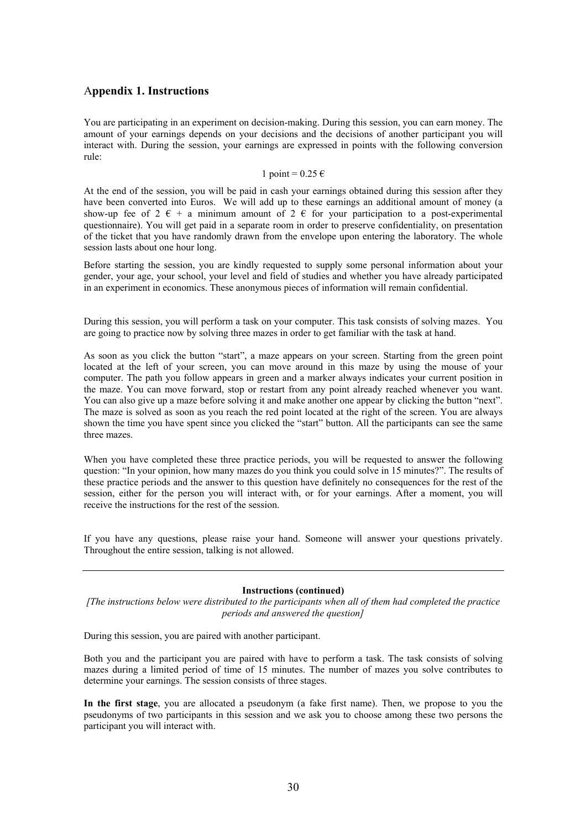#### A**ppendix 1. Instructions**

You are participating in an experiment on decision-making. During this session, you can earn money. The amount of your earnings depends on your decisions and the decisions of another participant you will interact with. During the session, your earnings are expressed in points with the following conversion rule:

#### 1 point =  $0.25 \in$

At the end of the session, you will be paid in cash your earnings obtained during this session after they have been converted into Euros. We will add up to these earnings an additional amount of money (a show-up fee of  $2 \epsilon + a$  minimum amount of  $2 \epsilon$  for your participation to a post-experimental questionnaire). You will get paid in a separate room in order to preserve confidentiality, on presentation of the ticket that you have randomly drawn from the envelope upon entering the laboratory. The whole session lasts about one hour long.

Before starting the session, you are kindly requested to supply some personal information about your gender, your age, your school, your level and field of studies and whether you have already participated in an experiment in economics. These anonymous pieces of information will remain confidential.

During this session, you will perform a task on your computer. This task consists of solving mazes. You are going to practice now by solving three mazes in order to get familiar with the task at hand.

As soon as you click the button "start", a maze appears on your screen. Starting from the green point located at the left of your screen, you can move around in this maze by using the mouse of your computer. The path you follow appears in green and a marker always indicates your current position in the maze. You can move forward, stop or restart from any point already reached whenever you want. You can also give up a maze before solving it and make another one appear by clicking the button "next". The maze is solved as soon as you reach the red point located at the right of the screen. You are always shown the time you have spent since you clicked the "start" button. All the participants can see the same three mazes.

When you have completed these three practice periods, you will be requested to answer the following question: "In your opinion, how many mazes do you think you could solve in 15 minutes?". The results of these practice periods and the answer to this question have definitely no consequences for the rest of the session, either for the person you will interact with, or for your earnings. After a moment, you will receive the instructions for the rest of the session.

If you have any questions, please raise your hand. Someone will answer your questions privately. Throughout the entire session, talking is not allowed.

#### **Instructions (continued)**

*[The instructions below were distributed to the participants when all of them had completed the practice periods and answered the question]* 

During this session, you are paired with another participant.

Both you and the participant you are paired with have to perform a task. The task consists of solving mazes during a limited period of time of 15 minutes. The number of mazes you solve contributes to determine your earnings. The session consists of three stages.

**In the first stage**, you are allocated a pseudonym (a fake first name). Then, we propose to you the pseudonyms of two participants in this session and we ask you to choose among these two persons the participant you will interact with.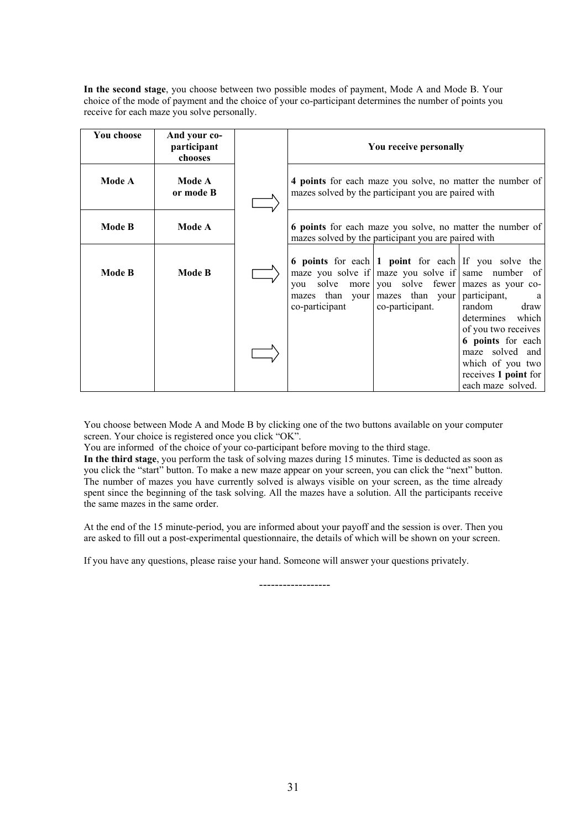**In the second stage**, you choose between two possible modes of payment, Mode A and Mode B. Your choice of the mode of payment and the choice of your co-participant determines the number of points you receive for each maze you solve personally.

| You choose | And your co-<br>participant<br>chooses |                        | You receive personally                                                                                                                                                                                            |                                                                                                                                                                       |
|------------|----------------------------------------|------------------------|-------------------------------------------------------------------------------------------------------------------------------------------------------------------------------------------------------------------|-----------------------------------------------------------------------------------------------------------------------------------------------------------------------|
| Mode A     | Mode A<br>or mode B                    |                        | 4 points for each maze you solve, no matter the number of<br>mazes solved by the participant you are paired with                                                                                                  |                                                                                                                                                                       |
| Mode B     | Mode A                                 |                        | 6 points for each maze you solve, no matter the number of<br>mazes solved by the participant you are paired with                                                                                                  |                                                                                                                                                                       |
| Mode B     | <b>Mode B</b>                          | vou<br>mazes than your | 6 points for each $\begin{vmatrix} 1 \\ 0 \end{vmatrix}$ point for each If you solve the<br>maze you solve if maze you solve if same number of<br>solve more you solve fewer mazes as your co-<br>mazes than your | participant,<br>a                                                                                                                                                     |
|            |                                        | co-participant         | co-participant.                                                                                                                                                                                                   | random<br>draw<br>determines<br>which<br>of you two receives<br>6 points for each<br>maze solved and<br>which of you two<br>receives 1 point for<br>each maze solved. |

You choose between Mode A and Mode B by clicking one of the two buttons available on your computer screen. Your choice is registered once you click "OK".

You are informed of the choice of your co-participant before moving to the third stage.

**In the third stage**, you perform the task of solving mazes during 15 minutes. Time is deducted as soon as you click the "start" button. To make a new maze appear on your screen, you can click the "next" button. The number of mazes you have currently solved is always visible on your screen, as the time already spent since the beginning of the task solving. All the mazes have a solution. All the participants receive the same mazes in the same order.

At the end of the 15 minute-period, you are informed about your payoff and the session is over. Then you are asked to fill out a post-experimental questionnaire, the details of which will be shown on your screen.

If you have any questions, please raise your hand. Someone will answer your questions privately.

------------------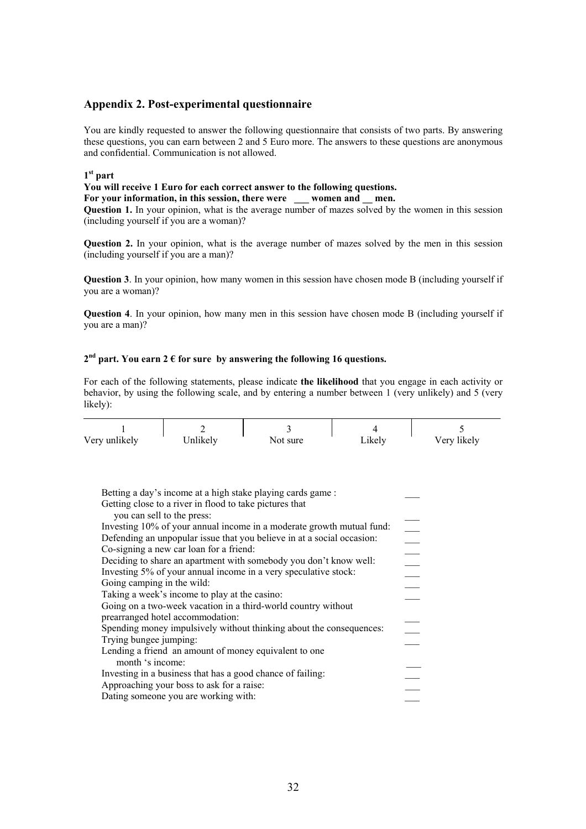#### **Appendix 2. Post-experimental questionnaire**

You are kindly requested to answer the following questionnaire that consists of two parts. By answering these questions, you can earn between 2 and 5 Euro more. The answers to these questions are anonymous and confidential. Communication is not allowed.

#### **1 st part**

**You will receive 1 Euro for each correct answer to the following questions.** 

For your information, in this session, there were women and men.

**Question 1.** In your opinion, what is the average number of mazes solved by the women in this session (including yourself if you are a woman)?

**Question 2.** In your opinion, what is the average number of mazes solved by the men in this session (including yourself if you are a man)?

**Question 3.** In your opinion, how many women in this session have chosen mode B (including yourself if you are a woman)?

**Question 4**. In your opinion, how many men in this session have chosen mode B (including yourself if you are a man)?

#### $2<sup>nd</sup>$  part. You earn  $2 \in$  for sure by answering the following 16 questions.

For each of the following statements, please indicate **the likelihood** that you engage in each activity or behavior, by using the following scale, and by entering a number between 1 (very unlikely) and 5 (very likely):

| Very unlikely | Jnlikely | Not sure | Likely | Very likely |
|---------------|----------|----------|--------|-------------|

| Betting a day's income at a high stake playing cards game:             |                |
|------------------------------------------------------------------------|----------------|
| Getting close to a river in flood to take pictures that                |                |
| you can sell to the press:                                             |                |
| Investing 10% of your annual income in a moderate growth mutual fund:  | $\overline{a}$ |
| Defending an unpopular issue that you believe in at a social occasion: |                |
| Co-signing a new car loan for a friend:                                |                |
| Deciding to share an apartment with somebody you don't know well:      |                |
| Investing 5% of your annual income in a very speculative stock:        |                |
| Going camping in the wild:                                             |                |
| Taking a week's income to play at the casino:                          |                |
| Going on a two-week vacation in a third-world country without          |                |
| prearranged hotel accommodation:                                       |                |
| Spending money impulsively without thinking about the consequences:    |                |
| Trying bungee jumping:                                                 |                |
| Lending a friend an amount of money equivalent to one                  |                |
| month 's income:                                                       |                |
| Investing in a business that has a good chance of failing:             |                |
| Approaching your boss to ask for a raise:                              |                |
| Dating someone you are working with:                                   |                |
|                                                                        |                |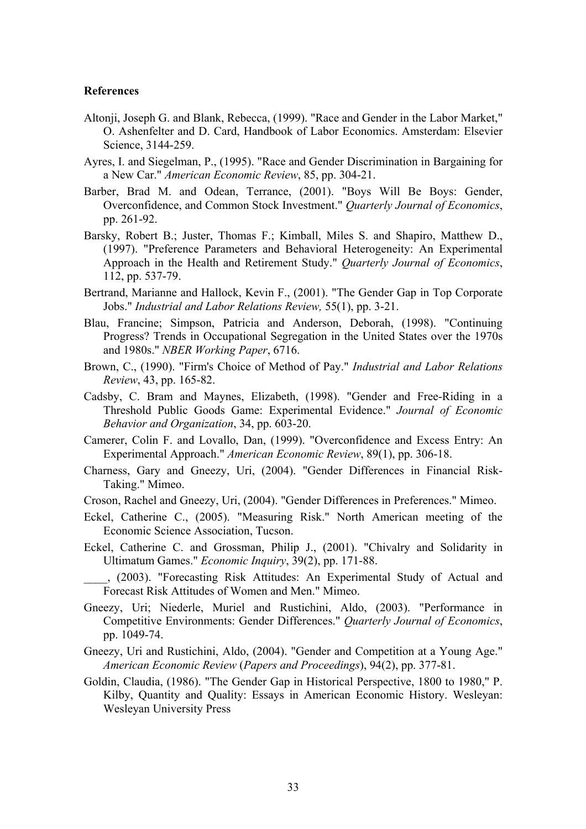#### **References**

- Altonji, Joseph G. and Blank, Rebecca, (1999). "Race and Gender in the Labor Market," O. Ashenfelter and D. Card, Handbook of Labor Economics. Amsterdam: Elsevier Science, 3144-259.
- Ayres, I. and Siegelman, P., (1995). "Race and Gender Discrimination in Bargaining for a New Car." *American Economic Review*, 85, pp. 304-21.
- Barber, Brad M. and Odean, Terrance, (2001). "Boys Will Be Boys: Gender, Overconfidence, and Common Stock Investment." *Quarterly Journal of Economics*, pp. 261-92.
- Barsky, Robert B.; Juster, Thomas F.; Kimball, Miles S. and Shapiro, Matthew D., (1997). "Preference Parameters and Behavioral Heterogeneity: An Experimental Approach in the Health and Retirement Study." *Quarterly Journal of Economics*, 112, pp. 537-79.
- Bertrand, Marianne and Hallock, Kevin F., (2001). "The Gender Gap in Top Corporate Jobs." *Industrial and Labor Relations Review,* 55(1), pp. 3-21.
- Blau, Francine; Simpson, Patricia and Anderson, Deborah, (1998). "Continuing Progress? Trends in Occupational Segregation in the United States over the 1970s and 1980s." *NBER Working Paper*, 6716.
- Brown, C., (1990). "Firm's Choice of Method of Pay." *Industrial and Labor Relations Review*, 43, pp. 165-82.
- Cadsby, C. Bram and Maynes, Elizabeth, (1998). "Gender and Free-Riding in a Threshold Public Goods Game: Experimental Evidence." *Journal of Economic Behavior and Organization*, 34, pp. 603-20.
- Camerer, Colin F. and Lovallo, Dan, (1999). "Overconfidence and Excess Entry: An Experimental Approach." *American Economic Review*, 89(1), pp. 306-18.
- Charness, Gary and Gneezy, Uri, (2004). "Gender Differences in Financial Risk-Taking." Mimeo.
- Croson, Rachel and Gneezy, Uri, (2004). "Gender Differences in Preferences." Mimeo.
- Eckel, Catherine C., (2005). "Measuring Risk." North American meeting of the Economic Science Association, Tucson.
- Eckel, Catherine C. and Grossman, Philip J., (2001). "Chivalry and Solidarity in Ultimatum Games." *Economic Inquiry*, 39(2), pp. 171-88.

\_\_\_\_, (2003). "Forecasting Risk Attitudes: An Experimental Study of Actual and Forecast Risk Attitudes of Women and Men." Mimeo.

- Gneezy, Uri; Niederle, Muriel and Rustichini, Aldo, (2003). "Performance in Competitive Environments: Gender Differences." *Quarterly Journal of Economics*, pp. 1049-74.
- Gneezy, Uri and Rustichini, Aldo, (2004). "Gender and Competition at a Young Age." *American Economic Review* (*Papers and Proceedings*), 94(2), pp. 377-81.
- Goldin, Claudia, (1986). "The Gender Gap in Historical Perspective, 1800 to 1980," P. Kilby, Quantity and Quality: Essays in American Economic History. Wesleyan: Wesleyan University Press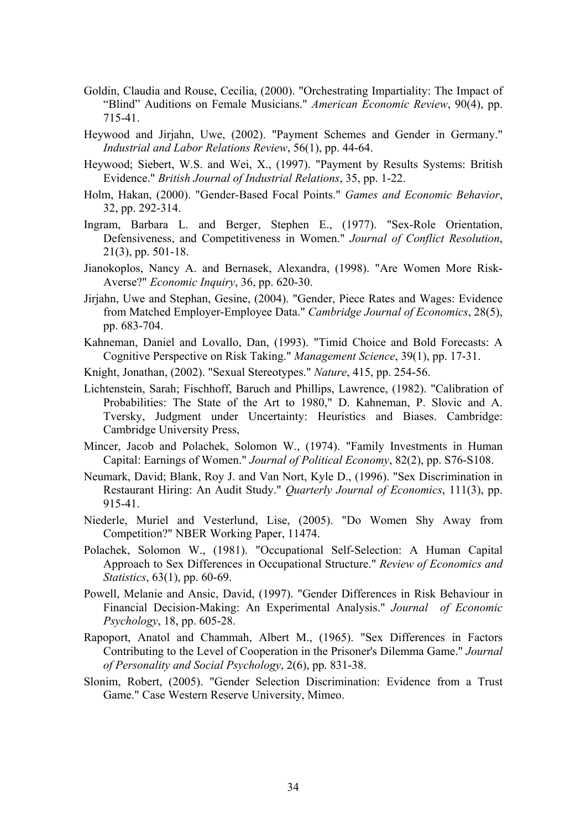- Goldin, Claudia and Rouse, Cecilia, (2000). "Orchestrating Impartiality: The Impact of "Blind" Auditions on Female Musicians." *American Economic Review*, 90(4), pp. 715-41.
- Heywood and Jirjahn, Uwe, (2002). "Payment Schemes and Gender in Germany." *Industrial and Labor Relations Review*, 56(1), pp. 44-64.
- Heywood; Siebert, W.S. and Wei, X., (1997). "Payment by Results Systems: British Evidence." *British Journal of Industrial Relations*, 35, pp. 1-22.
- Holm, Hakan, (2000). "Gender-Based Focal Points." *Games and Economic Behavior*, 32, pp. 292-314.
- Ingram, Barbara L. and Berger, Stephen E., (1977). "Sex-Role Orientation, Defensiveness, and Competitiveness in Women." *Journal of Conflict Resolution*, 21(3), pp. 501-18.
- Jianokoplos, Nancy A. and Bernasek, Alexandra, (1998). "Are Women More Risk-Averse?" *Economic Inquiry*, 36, pp. 620-30.
- Jirjahn, Uwe and Stephan, Gesine, (2004). "Gender, Piece Rates and Wages: Evidence from Matched Employer-Employee Data." *Cambridge Journal of Economics*, 28(5), pp. 683-704.
- Kahneman, Daniel and Lovallo, Dan, (1993). "Timid Choice and Bold Forecasts: A Cognitive Perspective on Risk Taking." *Management Science*, 39(1), pp. 17-31.
- Knight, Jonathan, (2002). "Sexual Stereotypes." *Nature*, 415, pp. 254-56.
- Lichtenstein, Sarah; Fischhoff, Baruch and Phillips, Lawrence, (1982). "Calibration of Probabilities: The State of the Art to 1980," D. Kahneman, P. Slovic and A. Tversky, Judgment under Uncertainty: Heuristics and Biases. Cambridge: Cambridge University Press,
- Mincer, Jacob and Polachek, Solomon W., (1974). "Family Investments in Human Capital: Earnings of Women." *Journal of Political Economy*, 82(2), pp. S76-S108.
- Neumark, David; Blank, Roy J. and Van Nort, Kyle D., (1996). "Sex Discrimination in Restaurant Hiring: An Audit Study." *Quarterly Journal of Economics*, 111(3), pp. 915-41.
- Niederle, Muriel and Vesterlund, Lise, (2005). "Do Women Shy Away from Competition?" NBER Working Paper, 11474.
- Polachek, Solomon W., (1981). "Occupational Self-Selection: A Human Capital Approach to Sex Differences in Occupational Structure." *Review of Economics and Statistics*, 63(1), pp. 60-69.
- Powell, Melanie and Ansic, David, (1997). "Gender Differences in Risk Behaviour in Financial Decision-Making: An Experimental Analysis." *Journal of Economic Psychology*, 18, pp. 605-28.
- Rapoport, Anatol and Chammah, Albert M., (1965). "Sex Differences in Factors Contributing to the Level of Cooperation in the Prisoner's Dilemma Game." *Journal of Personality and Social Psychology*, 2(6), pp. 831-38.
- Slonim, Robert, (2005). "Gender Selection Discrimination: Evidence from a Trust Game." Case Western Reserve University, Mimeo.